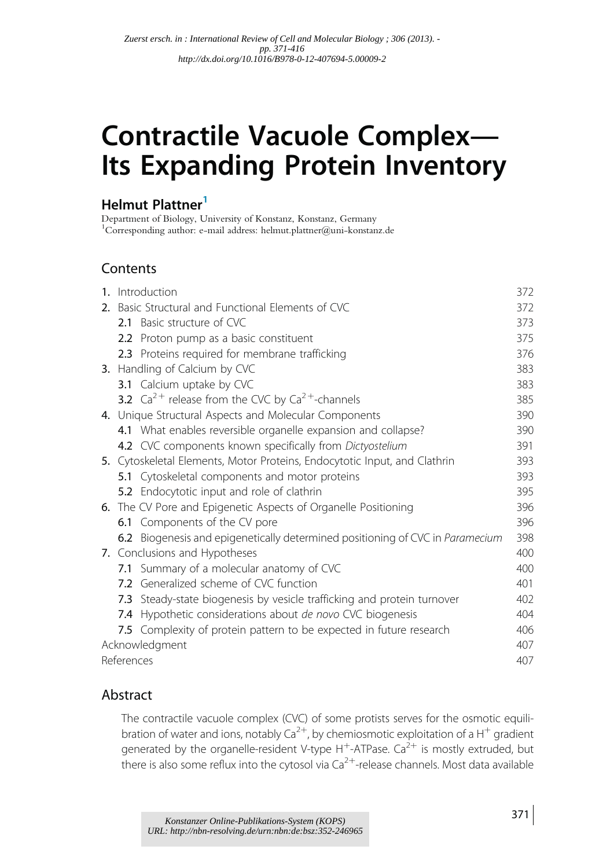# Contractile Vacuole Complex— Its Expanding Protein Inventory

# Helmut Plattner<sup>1</sup>

Department of Biology, University of Konstanz, Konstanz, Germany 1 Corresponding author: e-mail address: helmut.plattner@uni-konstanz.de

# **Contents**

| 1. Introduction                                                               | 372 |
|-------------------------------------------------------------------------------|-----|
| 2. Basic Structural and Functional Elements of CVC                            | 372 |
| 2.1 Basic structure of CVC                                                    | 373 |
| 2.2 Proton pump as a basic constituent                                        | 375 |
| 2.3 Proteins required for membrane trafficking                                | 376 |
| 3. Handling of Calcium by CVC                                                 | 383 |
| 3.1 Calcium uptake by CVC                                                     | 383 |
| <b>3.2</b> $Ca^{2+}$ release from the CVC by $Ca^{2+}$ -channels              | 385 |
| 4. Unique Structural Aspects and Molecular Components                         | 390 |
| 4.1 What enables reversible organelle expansion and collapse?                 | 390 |
| 4.2 CVC components known specifically from Dictyostelium                      | 391 |
| 5. Cytoskeletal Elements, Motor Proteins, Endocytotic Input, and Clathrin     | 393 |
| 5.1 Cytoskeletal components and motor proteins                                | 393 |
| 5.2 Endocytotic input and role of clathrin                                    | 395 |
| 6. The CV Pore and Epigenetic Aspects of Organelle Positioning                | 396 |
| 6.1 Components of the CV pore                                                 | 396 |
| 6.2 Biogenesis and epigenetically determined positioning of CVC in Paramecium | 398 |
| 7. Conclusions and Hypotheses                                                 | 400 |
| 7.1 Summary of a molecular anatomy of CVC                                     | 400 |
| 7.2 Generalized scheme of CVC function                                        | 401 |
| 7.3 Steady-state biogenesis by vesicle trafficking and protein turnover       | 402 |
| 7.4 Hypothetic considerations about de novo CVC biogenesis                    | 404 |
| 7.5 Complexity of protein pattern to be expected in future research           | 406 |
| Acknowledgment                                                                | 407 |
| References                                                                    | 407 |
|                                                                               |     |

#### Abstract

The contractile vacuole complex (CVC) of some protists serves for the osmotic equilibration of water and ions, notably  $Ca^{2+}$ , by chemiosmotic exploitation of a H<sup>+</sup> gradient generated by the organelle-resident V-type  $H^+$ -ATPase. Ca<sup>2+</sup> is mostly extruded, but there is also some reflux into the cytosol via  $Ca^{2+}$ -release channels. Most data available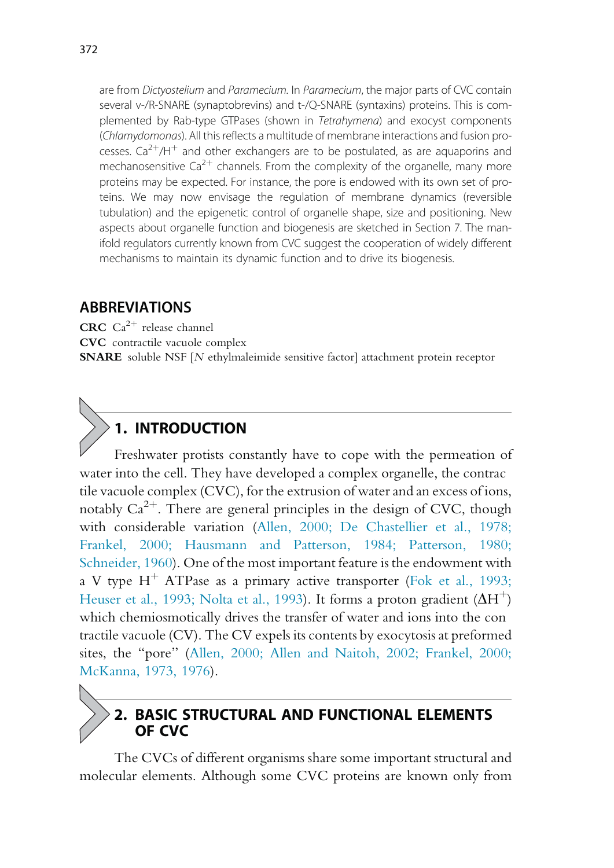are from Dictyostelium and Paramecium. In Paramecium, the major parts of CVC contain several v-/R-SNARE (synaptobrevins) and t-/Q-SNARE (syntaxins) proteins. This is complemented by Rab-type GTPases (shown in Tetrahymena) and exocyst components (Chlamydomonas). All this reflects a multitude of membrane interactions and fusion processes.  $Ca^{2+}/H^{+}$  and other exchangers are to be postulated, as are aquaporins and mechanosensitive  $Ca^{2+}$  channels. From the complexity of the organelle, many more proteins may be expected. For instance, the pore is endowed with its own set of proteins. We may now envisage the regulation of membrane dynamics (reversible tubulation) and the epigenetic control of organelle shape, size and positioning. New aspects about organelle function and biogenesis are sketched in Section 7. The manifold regulators currently known from CVC suggest the cooperation of widely different mechanisms to maintain its dynamic function and to drive its biogenesis.

#### ABBREVIATIONS

CRC  $Ca^{2+}$  release channel CVC contractile vacuole complex SNARE soluble NSF [N ethylmaleimide sensitive factor] attachment protein receptor

# 1. INTRODUCTION

Freshwater protists constantly have to cope with the permeation of water into the cell. They have developed a complex organelle, the contrac tile vacuole complex (CVC), for the extrusion of water and an excess of ions, notably  $Ca^{2+}$ . There are general principles in the design of CVC, though with considerable variation (Allen, 2000; De Chastellier et al., 1978; Frankel, 2000; Hausmann and Patterson, 1984; Patterson, 1980; Schneider, 1960). One of the most important feature is the endowment with a V type  $H^+$  ATPase as a primary active transporter (Fok et al., 1993; Heuser et al., 1993; Nolta et al., 1993). It forms a proton gradient  $(\Delta H^+)$ which chemiosmotically drives the transfer of water and ions into the con tractile vacuole (CV). The CV expels its contents by exocytosis at preformed sites, the "pore" (Allen, 2000; Allen and Naitoh, 2002; Frankel, 2000; McKanna, 1973, 1976).

# 2. BASIC STRUCTURAL AND FUNCTIONAL ELEMENTS OF CVC

The CVCs of different organisms share some important structural and molecular elements. Although some CVC proteins are known only from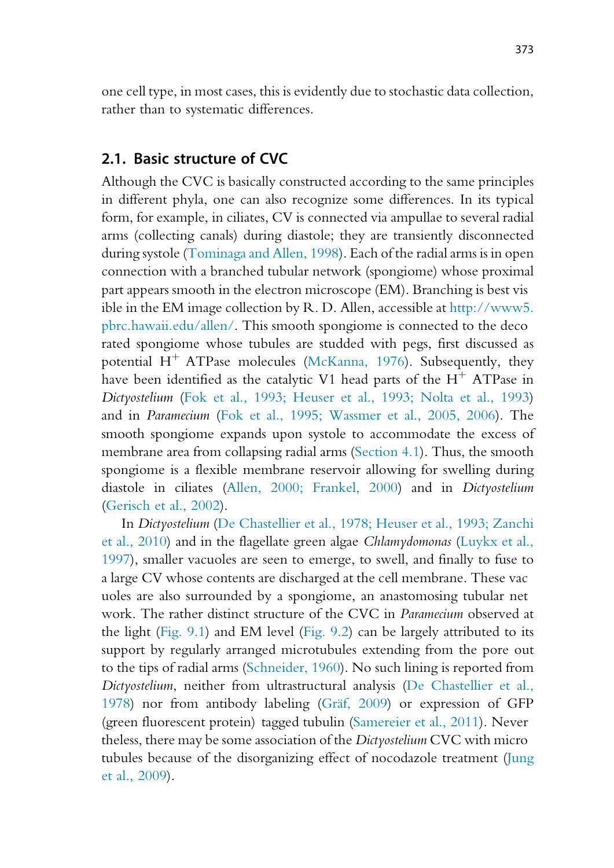one cell type, in most cases, this is evidently due to stochastic data collection, rather than to systematic differences.

# 2.1. Basic structure of CVC

Although the CVC is basically constructed according to the same principles in different phyla, one can also recognize some differences. In its typical form, for example, in ciliates, CV is connected via ampullae to several radial arms (collecting canals) during diastole; they are transiently disconnected during systole (Tominaga and Allen, 1998). Each of the radial arms is in open connection with a branched tubular network (spongiome) whose proximal part appears smooth in the electron microscope (EM). Branching is best vis ible in the EM image collection by R. D. Allen, accessible at http://www5. pbrc.hawaii.edu/allen/. This smooth spongiome is connected to the deco rated spongiome whose tubules are studded with pegs, first discussed as potential  $H^+$  ATPase molecules (McKanna, 1976). Subsequently, they have been identified as the catalytic V1 head parts of the  $H^+$  ATPase in Dictyostelium (Fok et al., 1993; Heuser et al., 1993; Nolta et al., 1993) and in Paramecium (Fok et al., 1995; Wassmer et al., 2005, 2006). The smooth spongiome expands upon systole to accommodate the excess of membrane area from collapsing radial arms (Section 4.1). Thus, the smooth spongiome is a flexible membrane reservoir allowing for swelling during diastole in ciliates (Allen, 2000; Frankel, 2000) and in Dictyostelium (Gerisch et al., 2002).

In Dictyostelium (De Chastellier et al., 1978; Heuser et al., 1993; Zanchi et al., 2010) and in the flagellate green algae Chlamydomonas (Luykx et al., 1997), smaller vacuoles are seen to emerge, to swell, and finally to fuse to a large CV whose contents are discharged at the cell membrane. These vac uoles are also surrounded by a spongiome, an anastomosing tubular net work. The rather distinct structure of the CVC in Paramecium observed at the light (Fig. 9.1) and EM level (Fig. 9.2) can be largely attributed to its support by regularly arranged microtubules extending from the pore out to the tips of radial arms (Schneider, 1960). No such lining is reported from Dictyostelium, neither from ultrastructural analysis (De Chastellier et al., 1978) nor from antibody labeling (Gräf, 2009) or expression of GFP (green fluorescent protein) tagged tubulin (Samereier et al., 2011). Never theless, there may be some association of the Dictyostelium CVC with micro tubules because of the disorganizing effect of nocodazole treatment (Jung et al., 2009).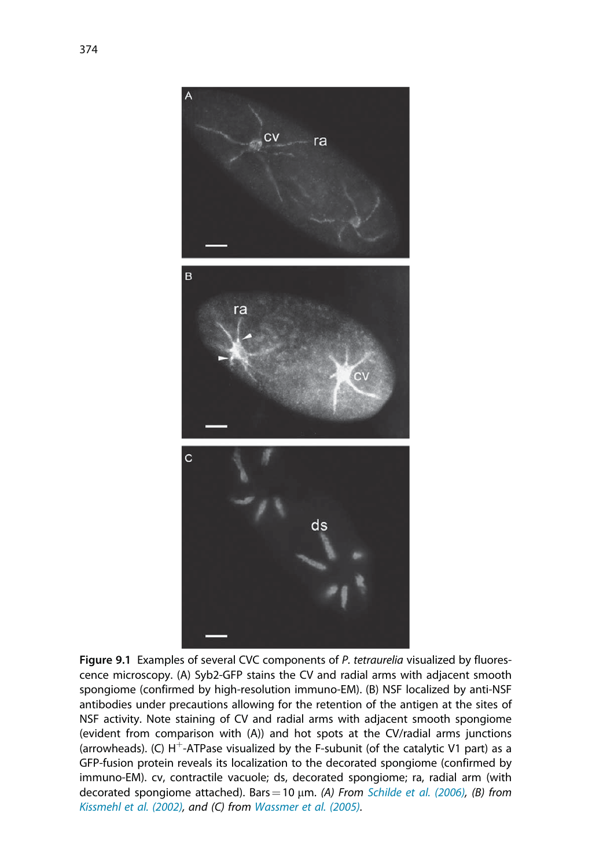

Figure 9.1 Examples of several CVC components of P. tetraurelia visualized by fluorescence microscopy. (A) Syb2-GFP stains the CV and radial arms with adjacent smooth spongiome (confirmed by high-resolution immuno-EM). (B) NSF localized by anti-NSF antibodies under precautions allowing for the retention of the antigen at the sites of NSF activity. Note staining of CV and radial arms with adjacent smooth spongiome (evident from comparison with (A)) and hot spots at the CV/radial arms junctions (arrowheads). (C)  $H^+$ -ATPase visualized by the F-subunit (of the catalytic V1 part) as a GFP-fusion protein reveals its localization to the decorated spongiome (confirmed by immuno-EM). cv, contractile vacuole; ds, decorated spongiome; ra, radial arm (with decorated spongiome attached). Bars = 10  $\mu$ m. (A) From Schilde et al. (2006), (B) from Kissmehl et al. (2002), and (C) from Wassmer et al. (2005).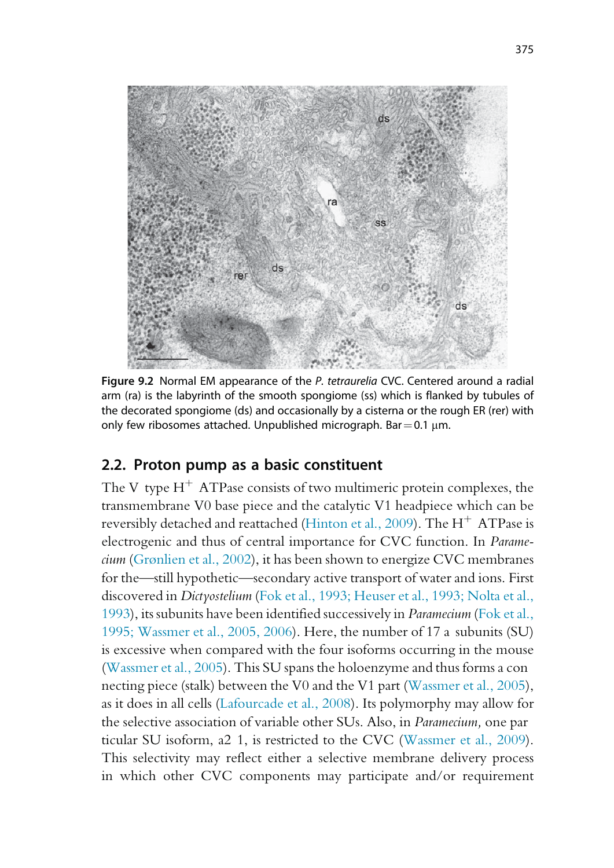

Figure 9.2 Normal EM appearance of the P. tetraurelia CVC. Centered around a radial arm (ra) is the labyrinth of the smooth spongiome (ss) which is flanked by tubules of the decorated spongiome (ds) and occasionally by a cisterna or the rough ER (rer) with only few ribosomes attached. Unpublished micrograph. Bar =  $0.1 \mu m$ .

# 2.2. Proton pump as a basic constituent

The V type  $H^+$  ATPase consists of two multimeric protein complexes, the transmembrane V0 base piece and the catalytic V1 headpiece which can be reversibly detached and reattached (Hinton et al., 2009). The  $H^+$  ATPase is electrogenic and thus of central importance for CVC function. In Paramecium (Grønlien et al., 2002), it has been shown to energize CVC membranes for the—still hypothetic—secondary active transport of water and ions. First discovered in Dictyostelium (Fok et al., 1993; Heuser et al., 1993; Nolta et al., 1993), its subunits have been identified successively in Paramecium (Fok et al., 1995; Wassmer et al., 2005, 2006). Here, the number of 17 a subunits (SU) is excessive when compared with the four isoforms occurring in the mouse (Wassmer et al., 2005). This SU spans the holoenzyme and thus forms a con necting piece (stalk) between the V0 and the V1 part (Wassmer et al., 2005), as it does in all cells (Lafourcade et al., 2008). Its polymorphy may allow for the selective association of variable other SUs. Also, in Paramecium, one par ticular SU isoform, a2 1, is restricted to the CVC (Wassmer et al., 2009). This selectivity may reflect either a selective membrane delivery process in which other CVC components may participate and/or requirement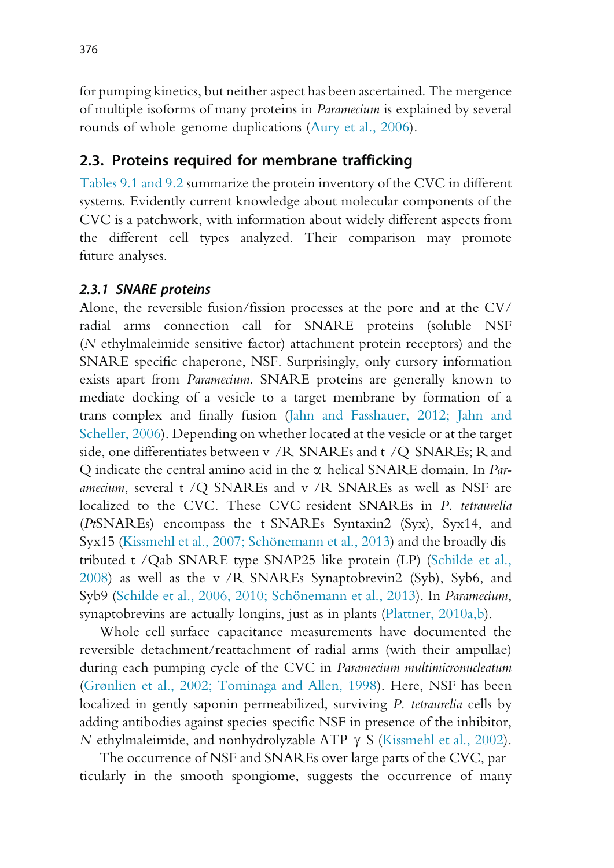for pumping kinetics, but neither aspect has been ascertained. The mergence of multiple isoforms of many proteins in Paramecium is explained by several rounds of whole genome duplications (Aury et al., 2006).

# 2.3. Proteins required for membrane trafficking

Tables 9.1 and 9.2 summarize the protein inventory of the CVC in different systems. Evidently current knowledge about molecular components of the CVC is a patchwork, with information about widely different aspects from the different cell types analyzed. Their comparison may promote future analyses.

#### 2.3.1 SNARE proteins

Alone, the reversible fusion/fission processes at the pore and at the CV/ radial arms connection call for SNARE proteins (soluble NSF (N ethylmaleimide sensitive factor) attachment protein receptors) and the SNARE specific chaperone, NSF. Surprisingly, only cursory information exists apart from Paramecium. SNARE proteins are generally known to mediate docking of a vesicle to a target membrane by formation of a trans complex and finally fusion (Jahn and Fasshauer, 2012; Jahn and Scheller, 2006). Depending on whether located at the vesicle or at the target side, one differentiates between v /R SNAREs and t /Q SNAREs; R and Q indicate the central amino acid in the  $\alpha$  helical SNARE domain. In *Paramecium*, several t /Q SNAREs and v /R SNAREs as well as NSF are localized to the CVC. These CVC resident SNAREs in P. tetraurelia (PtSNAREs) encompass the t SNAREs Syntaxin2 (Syx), Syx14, and Syx15 (Kissmehl et al., 2007; Schönemann et al., 2013) and the broadly dis tributed t /Qab SNARE type SNAP25 like protein (LP) (Schilde et al., 2008) as well as the v /R SNAREs Synaptobrevin2 (Syb), Syb6, and Syb9 (Schilde et al., 2006, 2010; Schönemann et al., 2013). In Paramecium, synaptobrevins are actually longins, just as in plants (Plattner, 2010a,b).

Whole cell surface capacitance measurements have documented the reversible detachment/reattachment of radial arms (with their ampullae) during each pumping cycle of the CVC in Paramecium multimicronucleatum (Grønlien et al., 2002; Tominaga and Allen, 1998). Here, NSF has been localized in gently saponin permeabilized, surviving P. tetraurelia cells by adding antibodies against species specific NSF in presence of the inhibitor, N ethylmaleimide, and nonhydrolyzable ATP  $\gamma$  S (Kissmehl et al., 2002).

The occurrence of NSF and SNAREs over large parts of the CVC, par ticularly in the smooth spongiome, suggests the occurrence of many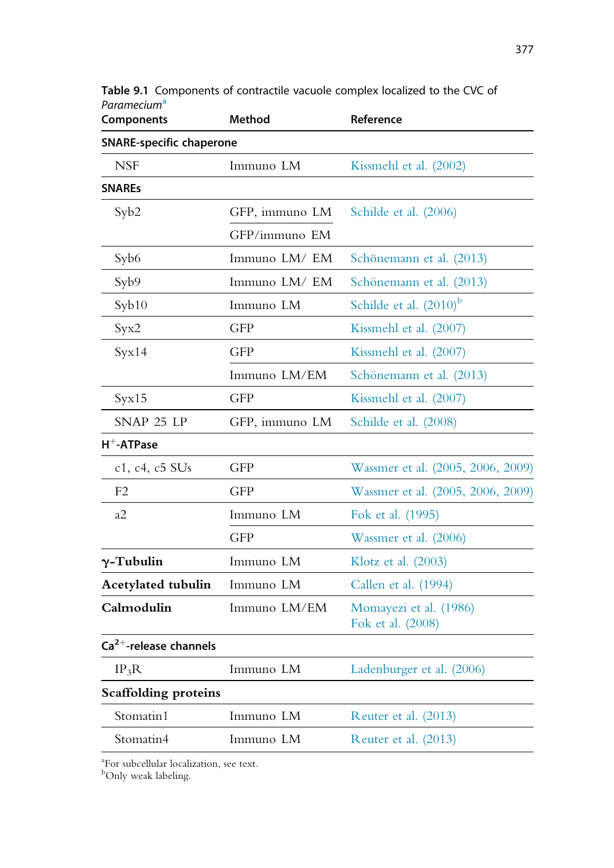| <b>Components</b>               | <b>Method</b>  | Reference                                   |
|---------------------------------|----------------|---------------------------------------------|
| <b>SNARE-specific chaperone</b> |                |                                             |
| <b>NSF</b>                      | Immuno LM      | Kissmehl et al. (2002)                      |
| <b>SNAREs</b>                   |                |                                             |
| Syb2                            | GFP, immuno LM | Schilde et al. (2006)                       |
|                                 | GFP/immuno EM  |                                             |
| Syb <sub>6</sub>                | Immuno LM/ EM  | Schönemann et al. (2013)                    |
| Syb9                            | Immuno LM/EM   | Schönemann et al. (2013)                    |
| $S$ yb $10$                     | Immuno LM      | Schilde et al. $(2010)^b$                   |
| Syx2                            | <b>GFP</b>     | Kissmehl et al. (2007)                      |
| Syx14                           | <b>GFP</b>     | Kissmehl et al. (2007)                      |
|                                 | Immuno LM/EM   | Schönemann et al. (2013)                    |
| Syx15                           | <b>GFP</b>     | Kissmehl et al. (2007)                      |
| SNAP 25 LP                      | GFP, immuno LM | Schilde et al. (2008)                       |
| $H^+$ -ATPase                   |                |                                             |
| c1, c4, c5 SUs                  | <b>GFP</b>     | Wassmer et al. (2005, 2006, 2009)           |
| F <sub>2</sub>                  | <b>GFP</b>     | Wassmer et al. (2005, 2006, 2009)           |
| a2                              | Immuno LM      | Fok et al. (1995)                           |
|                                 | <b>GFP</b>     | Wassmer et al. (2006)                       |
| $\gamma$ -Tubulin               | Immuno LM      | Klotz et al. $(2003)$                       |
| <b>Acetylated tubulin</b>       | Immuno LM      | Callen et al. (1994)                        |
| Calmodulin                      | Immuno LM/EM   | Momayezi et al. (1986)<br>Fok et al. (2008) |
| $Ca2+$ -release channels        |                |                                             |
| $IP_3R$                         | Immuno LM      | Ladenburger et al. (2006)                   |
| <b>Scaffolding proteins</b>     |                |                                             |
| Stomatin1                       | Immuno LM      | Reuter et al. (2013)                        |
| Stomatin4                       | Immuno LM      | Reuter et al. (2013)                        |

Table 9.1 Components of contractile vacuole complex localized to the CVC of Paramecium<sup>a</sup>

<sup>a</sup>For subcellular localization, see text.<br><sup>b</sup>Only weak labeling.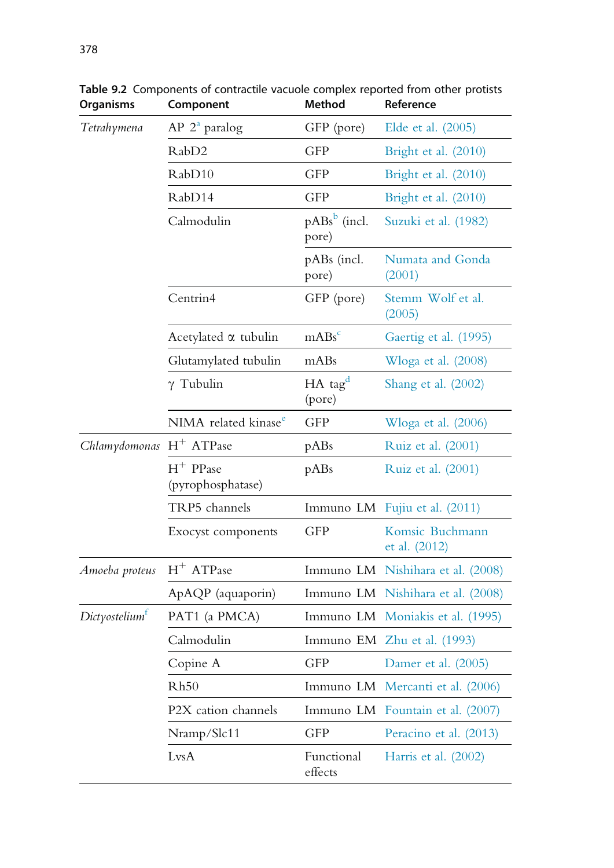| Tetrahymena                 | $AP 2a$ paralog                  | GFP (pore)                      | Elde et al. (2005)                |
|-----------------------------|----------------------------------|---------------------------------|-----------------------------------|
|                             | RabD <sub>2</sub>                | <b>GFP</b>                      | Bright et al. (2010)              |
|                             | RabD10                           | <b>GFP</b>                      | Bright et al. (2010)              |
|                             | RabD14                           | <b>GFP</b>                      | Bright et al. (2010)              |
|                             | Calmodulin                       | $p\text{ABs}^b$ (incl.<br>pore) | Suzuki et al. (1982)              |
|                             |                                  | pABs (incl.<br>pore)            | Numata and Gonda<br>(2001)        |
|                             | Centrin4                         | GFP (pore)                      | Stemm Wolf et al.<br>(2005)       |
|                             | Acetylated $\alpha$ tubulin      | $mABs^c$                        | Gaertig et al. (1995)             |
|                             | Glutamylated tubulin             | mABs                            | W $\log a$ et al. (2008)          |
|                             | $\gamma$ Tubulin                 | $HA$ tag <sup>d</sup><br>(pore) | Shang et al. $(2002)$             |
|                             | NIMA related kinase <sup>e</sup> | <b>GFP</b>                      | Wloga et al. (2006)               |
| Chlamydomonas $H^+$ ATPase  |                                  | pABs                            | Ruiz et al. (2001)                |
|                             | $H^+$ PPase<br>(pyrophosphatase) | pABs                            | Ruiz et al. (2001)                |
|                             | TRP5 channels                    |                                 | Immuno LM Fujiu et al. (2011)     |
|                             | Exocyst components               | <b>GFP</b>                      | Komsic Buchmann<br>et al. (2012)  |
| Amoeba proteus $H^+$ ATPase |                                  |                                 | Immuno LM Nishihara et al. (2008) |
|                             | ApAQP (aquaporin)                |                                 | Immuno LM Nishihara et al. (2008) |
| Dictyostelium <sup>t</sup>  | PAT1 (a PMCA)                    |                                 | Immuno LM Moniakis et al. (1995)  |
|                             | Calmodulin                       |                                 | Immuno EM Zhu et al. (1993)       |
|                             | Copine A                         | <b>GFP</b>                      | Damer et al. (2005)               |
|                             | Rh50                             |                                 | Immuno LM Mercanti et al. (2006)  |
|                             | P2X cation channels              |                                 | Immuno LM Fountain et al. (2007)  |
|                             | Nramp/Slc11                      | <b>GFP</b>                      | Peracino et al. (2013)            |
|                             | LvsA                             | Functional<br>effects           | Harris et al. $(2002)$            |

Table 9.2 Components of contractile vacuole complex reported from other protists<br>Organisms Component Method Reference Organisms Component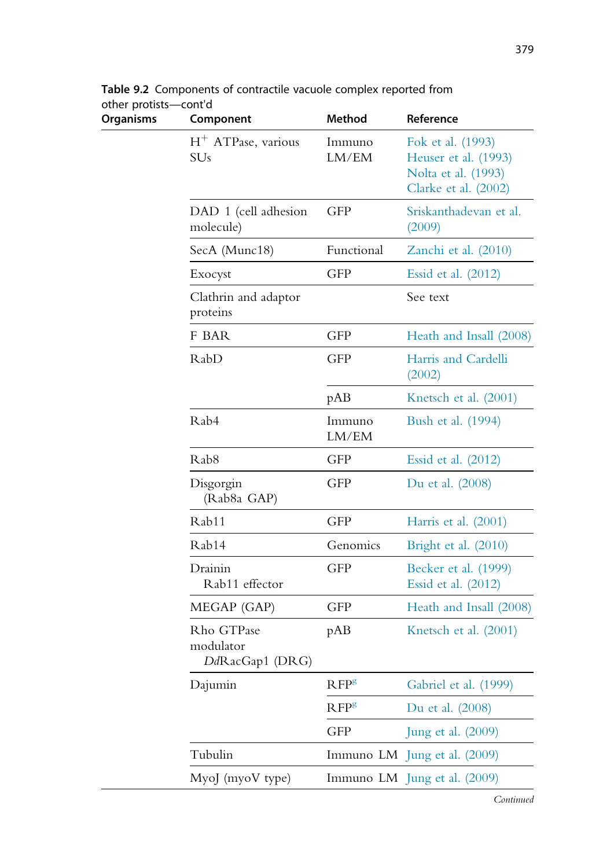| <b>Organisms</b> | Component                                  | <b>Method</b>    | Reference                                                                                |  |
|------------------|--------------------------------------------|------------------|------------------------------------------------------------------------------------------|--|
|                  | $H^+$ ATPase, various<br>SU <sub>s</sub>   | Immuno<br>LM/EM  | Fok et al. (1993)<br>Heuser et al. (1993)<br>Nolta et al. (1993)<br>Clarke et al. (2002) |  |
|                  | DAD 1 (cell adhesion<br>molecule)          | <b>GFP</b>       | Sriskanthadevan et al.<br>(2009)                                                         |  |
|                  | SecA (Munc18)                              | Functional       | Zanchi et al. (2010)                                                                     |  |
|                  | Exocyst                                    | <b>GFP</b>       | Essid et al. $(2012)$                                                                    |  |
|                  | Clathrin and adaptor<br>proteins           |                  | See text                                                                                 |  |
|                  | F BAR                                      | <b>GFP</b>       | Heath and Insall (2008)                                                                  |  |
|                  | RabD                                       | <b>GFP</b>       | Harris and Cardelli<br>(2002)                                                            |  |
|                  |                                            | pAB              | Knetsch et al. (2001)                                                                    |  |
|                  | Rab4                                       | Immuno<br>LM/EM  | Bush et al. (1994)                                                                       |  |
|                  | Rab <sub>8</sub>                           | <b>GFP</b>       | Essid et al. $(2012)$                                                                    |  |
|                  | Disgorgin<br>(Rab8a GAP)                   | <b>GFP</b>       | Du et al. (2008)                                                                         |  |
|                  | Rab11                                      | <b>GFP</b>       | Harris et al. $(2001)$                                                                   |  |
|                  | Rab14                                      | Genomics         | Bright et al. $(2010)$                                                                   |  |
|                  | Drainin<br>Rab11 effector                  | <b>GFP</b>       | Becker et al. (1999)<br>Essid et al. (2012)                                              |  |
|                  | MEGAP (GAP)                                | <b>GFP</b>       | Heath and Insall (2008)                                                                  |  |
|                  | Rho GTPase<br>modulator<br>DdRacGap1 (DRG) | pAB              | Knetsch et al. (2001)                                                                    |  |
|                  | Dajumin                                    | RFP <sup>g</sup> | Gabriel et al. (1999)                                                                    |  |
|                  |                                            | RFP <sup>g</sup> | Du et al. (2008)                                                                         |  |
|                  |                                            | <b>GFP</b>       | Jung et al. (2009)                                                                       |  |
|                  | Tubulin                                    |                  | Immuno LM Jung et al. (2009)                                                             |  |
|                  | MyoJ (myoV type)                           |                  | Immuno LM Jung et al. (2009)                                                             |  |

Table 9.2 Components of contractile vacuole complex reported from other protists—cont'd<br>Organisms Com

379

Continued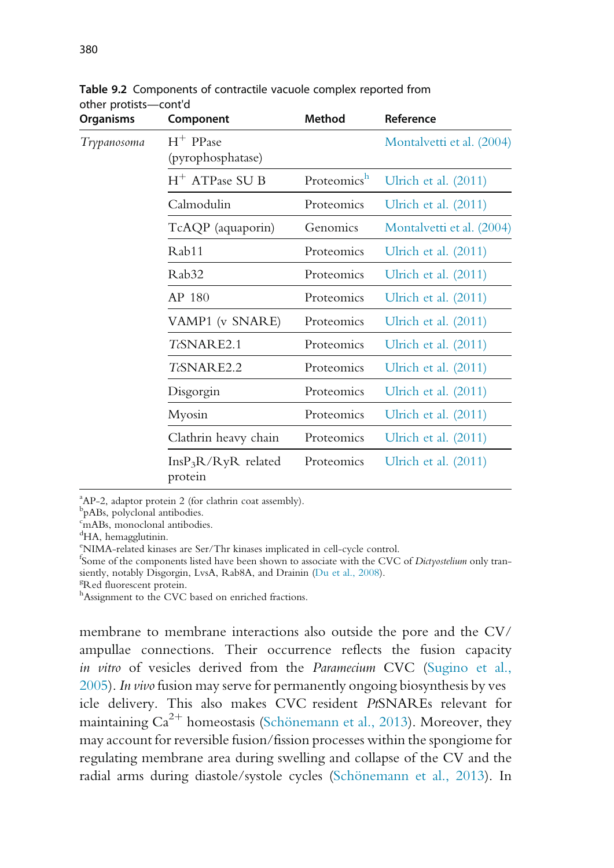| <b>Organisms</b> | Component                        | <b>Method</b> | Reference                 |
|------------------|----------------------------------|---------------|---------------------------|
| Trypanosoma      | $H^+$ PPase<br>(pyrophosphatase) |               | Montalvetti et al. (2004) |
|                  | $H^+$ ATPase SU B                | Proteomicsh   | Ulrich et al. $(2011)$    |
|                  | Calmodulin                       | Proteomics    | Ulrich et al. $(2011)$    |
|                  | TcAQP (aquaporin)                | Genomics      | Montalvetti et al. (2004) |
|                  | Rab11                            | Proteomics    | Ulrich et al. $(2011)$    |
|                  | Rab <sub>32</sub>                | Proteomics    | Ulrich et al. $(2011)$    |
|                  | AP 180                           | Proteomics    | Ulrich et al. $(2011)$    |
|                  | VAMP1 (v SNARE)                  | Proteomics    | Ulrich et al. $(2011)$    |
|                  | TcSNARE2.1                       | Proteomics    | Ulrich et al. $(2011)$    |
|                  | TcSNARE2.2                       | Proteomics    | Ulrich et al. $(2011)$    |
|                  | Disgorgin                        | Proteomics    | Ulrich et al. $(2011)$    |
|                  | Myosin                           | Proteomics    | Ulrich et al. $(2011)$    |
|                  | Clathrin heavy chain             | Proteomics    | Ulrich et al. $(2011)$    |
|                  | $InsP_3R/RyR$ related<br>protein | Proteomics    | Ulrich et al. $(2011)$    |

Table 9.2 Components of contractile vacuole complex reported from other protists—cont'd

<sup>a</sup>AP-2, adaptor protein 2 (for clathrin coat assembly).

b pABs, polyclonal antibodies.

<sup>c</sup>mABs, monoclonal antibodies.

<sup>d</sup>HA, hemagglutinin.

e NIMA-related kinases are Ser/Thr kinases implicated in cell-cycle control.

fSome of the components listed have been shown to associate with the CVC of Dictyostelium only transiently, notably Disgorgin, LvsA, Rab8A, and Drainin (Du et al., 2008).

<sup>g</sup>Red fluorescent protein.

hAssignment to the CVC based on enriched fractions.

membrane to membrane interactions also outside the pore and the CV/ ampullae connections. Their occurrence reflects the fusion capacity in vitro of vesicles derived from the Paramecium CVC (Sugino et al., 2005). In vivofusion may serve for permanently ongoing biosynthesis by ves icle delivery. This also makes CVC resident PtSNAREs relevant for maintaining  $Ca^{2+}$  homeostasis (Schönemann et al., 2013). Moreover, they may account for reversible fusion/fission processes within the spongiome for regulating membrane area during swelling and collapse of the CV and the radial arms during diastole/systole cycles (Schönemann et al., 2013). In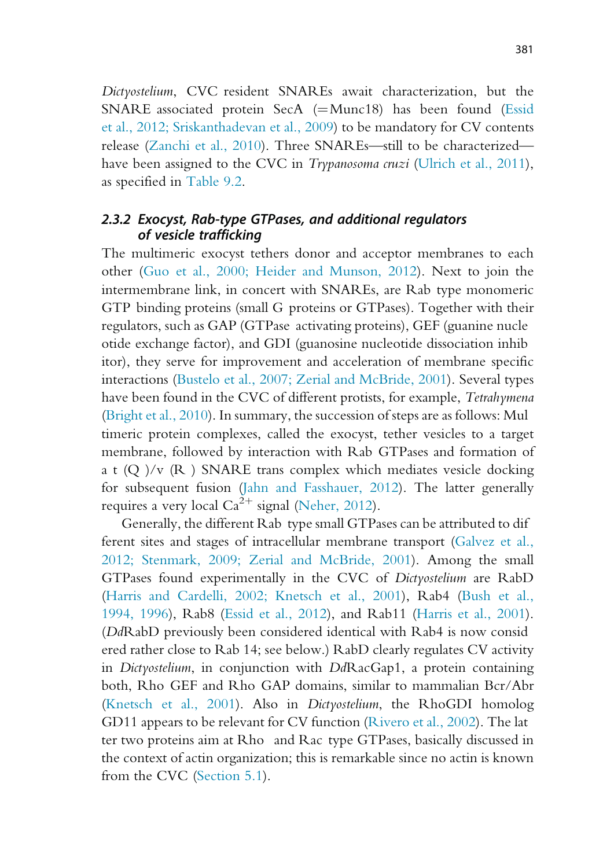Dictyostelium, CVC resident SNAREs await characterization, but the SNARE associated protein SecA  $(=Munc18)$  has been found (Essid et al., 2012; Sriskanthadevan et al., 2009) to be mandatory for CV contents release (Zanchi et al., 2010). Three SNAREs—still to be characterized have been assigned to the CVC in *Trypanosoma cruzi* (Ulrich et al., 2011), as specified in Table 9.2.

#### 2.3.2 Exocyst, Rab-type GTPases, and additional regulators of vesicle trafficking

The multimeric exocyst tethers donor and acceptor membranes to each other (Guo et al., 2000; Heider and Munson, 2012). Next to join the intermembrane link, in concert with SNAREs, are Rab type monomeric GTP binding proteins (small G proteins or GTPases). Together with their regulators, such as GAP (GTPase activating proteins), GEF (guanine nucle otide exchange factor), and GDI (guanosine nucleotide dissociation inhib itor), they serve for improvement and acceleration of membrane specific interactions (Bustelo et al., 2007; Zerial and McBride, 2001). Several types have been found in the CVC of different protists, for example, Tetrahymena (Bright et al., 2010). In summary, the succession of steps are as follows: Mul timeric protein complexes, called the exocyst, tether vesicles to a target membrane, followed by interaction with Rab GTPases and formation of a t  $(Q)$ /v  $(R)$  SNARE trans complex which mediates vesicle docking for subsequent fusion (Jahn and Fasshauer, 2012). The latter generally requires a very local  $Ca^{2+}$  signal (Neher, 2012).

Generally, the different Rab type small GTPases can be attributed to dif ferent sites and stages of intracellular membrane transport (Galvez et al., 2012; Stenmark, 2009; Zerial and McBride, 2001). Among the small GTPases found experimentally in the CVC of Dictyostelium are RabD (Harris and Cardelli, 2002; Knetsch et al., 2001), Rab4 (Bush et al., 1994, 1996), Rab8 (Essid et al., 2012), and Rab11 (Harris et al., 2001). (DdRabD previously been considered identical with Rab4 is now consid ered rather close to Rab 14; see below.) RabD clearly regulates CV activity in Dictyostelium, in conjunction with DdRacGap1, a protein containing both, Rho GEF and Rho GAP domains, similar to mammalian Bcr/Abr (Knetsch et al., 2001). Also in Dictyostelium, the RhoGDI homolog GD11 appears to be relevant for CV function (Rivero et al., 2002). The lat ter two proteins aim at Rho and Rac type GTPases, basically discussed in the context of actin organization; this is remarkable since no actin is known from the CVC (Section 5.1).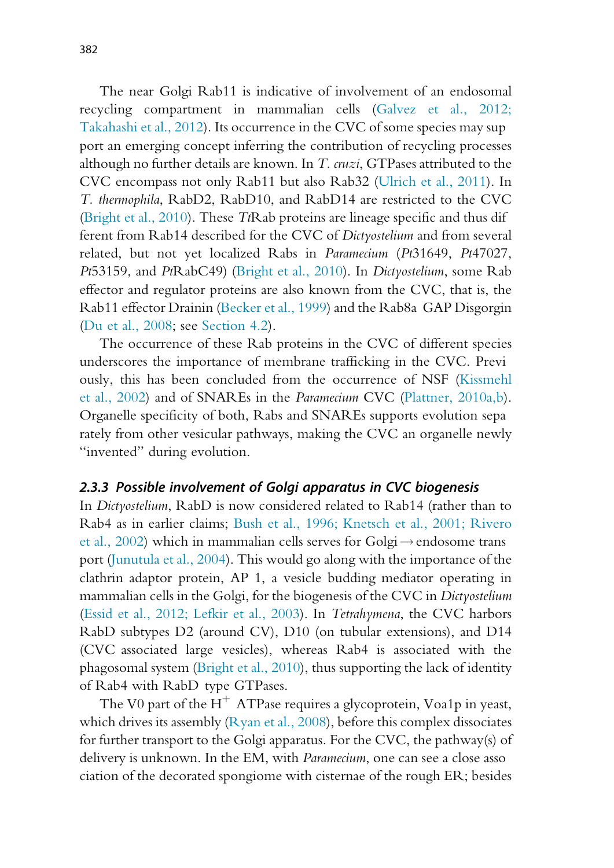The near Golgi Rab11 is indicative of involvement of an endosomal recycling compartment in mammalian cells (Galvez et al., 2012; Takahashi et al., 2012). Its occurrence in the CVC of some species may sup port an emerging concept inferring the contribution of recycling processes although no further details are known. In T. cruzi, GTPases attributed to the CVC encompass not only Rab11 but also Rab32 (Ulrich et al., 2011). In T. thermophila, RabD2, RabD10, and RabD14 are restricted to the CVC (Bright et al., 2010). These TtRab proteins are lineage specific and thus dif ferent from Rab14 described for the CVC of Dictyostelium and from several related, but not yet localized Rabs in Paramecium (Pt31649, Pt47027, Pt53159, and PtRabC49) (Bright et al., 2010). In Dictyostelium, some Rab effector and regulator proteins are also known from the CVC, that is, the Rab11 effector Drainin (Becker et al., 1999) and the Rab8a GAP Disgorgin (Du et al., 2008; see Section 4.2).

The occurrence of these Rab proteins in the CVC of different species underscores the importance of membrane trafficking in the CVC. Previ ously, this has been concluded from the occurrence of NSF (Kissmehl et al., 2002) and of SNAREs in the Paramecium CVC (Plattner, 2010a,b). Organelle specificity of both, Rabs and SNAREs supports evolution sepa rately from other vesicular pathways, making the CVC an organelle newly "invented" during evolution.

#### 2.3.3 Possible involvement of Golgi apparatus in CVC biogenesis

In Dictyostelium, RabD is now considered related to Rab14 (rather than to Rab4 as in earlier claims; Bush et al., 1996; Knetsch et al., 2001; Rivero et al., 2002) which in mammalian cells serves for Golgi $\rightarrow$ endosome trans port (Junutula et al., 2004). This would go along with the importance of the clathrin adaptor protein, AP 1, a vesicle budding mediator operating in mammalian cells in the Golgi, for the biogenesis of the CVC in Dictyostelium (Essid et al., 2012; Lefkir et al., 2003). In Tetrahymena, the CVC harbors RabD subtypes D2 (around CV), D10 (on tubular extensions), and D14 (CVC associated large vesicles), whereas Rab4 is associated with the phagosomal system (Bright et al., 2010), thus supporting the lack of identity of Rab4 with RabD type GTPases.

The V0 part of the  $H^+$  ATPase requires a glycoprotein, Voa1p in yeast, which drives its assembly (Ryan et al., 2008), before this complex dissociates for further transport to the Golgi apparatus. For the CVC, the pathway(s) of delivery is unknown. In the EM, with Paramecium, one can see a close asso ciation of the decorated spongiome with cisternae of the rough ER; besides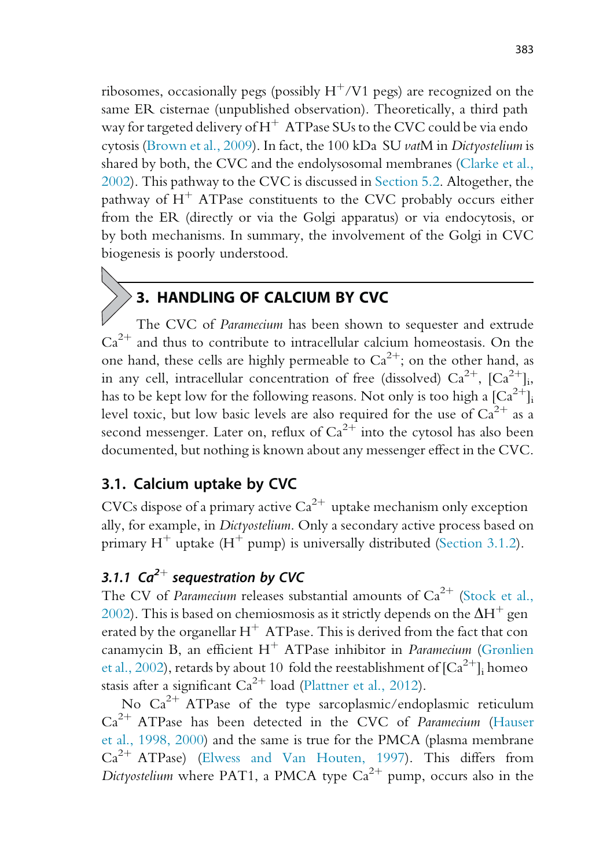ribosomes, occasionally pegs (possibly  $H^+/V1$  pegs) are recognized on the same ER cisternae (unpublished observation). Theoretically, a third path way for targeted delivery of  $H^+$  ATPase SUs to the CVC could be via endo cytosis (Brown et al., 2009). In fact, the 100 kDa SU vatM in Dictyostelium is shared by both, the CVC and the endolysosomal membranes (Clarke et al., 2002). This pathway to the CVC is discussed in Section 5.2. Altogether, the pathway of  $H^+$  ATPase constituents to the CVC probably occurs either from the ER (directly or via the Golgi apparatus) or via endocytosis, or by both mechanisms. In summary, the involvement of the Golgi in CVC biogenesis is poorly understood.

# 3. HANDLING OF CALCIUM BY CVC

The CVC of Paramecium has been shown to sequester and extrude  $Ca<sup>2+</sup>$  and thus to contribute to intracellular calcium homeostasis. On the one hand, these cells are highly permeable to  $Ca^{2+}$ ; on the other hand, as in any cell, intracellular concentration of free (dissolved)  $Ca^{2+}$ ,  $[Ca^{2+}]$ ; has to be kept low for the following reasons. Not only is too high a  $\lceil Ca^{2+} \rceil$ <sub>i</sub> level toxic, but low basic levels are also required for the use of  $Ca^{2+}$  as a second messenger. Later on, reflux of  $Ca^{2+}$  into the cytosol has also been documented, but nothing is known about any messenger effect in the CVC.

# 3.1. Calcium uptake by CVC

CVCs dispose of a primary active  $Ca^{2+}$  uptake mechanism only exception ally, for example, in Dictyostelium. Only a secondary active process based on primary  $H^+$  uptake  $(H^+$  pump) is universally distributed (Section 3.1.2).

# 3.1.1 Ca<sup>2+</sup> sequestration by CVC

The CV of Paramecium releases substantial amounts of  $Ca^{2+}$  (Stock et al., 2002). This is based on chemiosmosis as it strictly depends on the  $\Delta H^+$  gen erated by the organellar  $H^+$  ATPase. This is derived from the fact that con canamycin B, an efficient  $H^+$  ATPase inhibitor in *Paramecium* (Grønlien et al., 2002), retards by about 10 fold the reestablishment of  ${[Ca}^{2+}]$ <sub>i</sub> homeo stasis after a significant  $Ca^{2+}$  load (Plattner et al., 2012).

No  $Ca^{2+}$  ATPase of the type sarcoplasmic/endoplasmic reticulum  $Ca<sup>2+</sup> ATPase$  has been detected in the CVC of Paramecium (Hauser et al., 1998, 2000) and the same is true for the PMCA (plasma membrane  $Ca^{2+}$  ATPase) (Elwess and Van Houten, 1997). This differs from Dictyostelium where PAT1, a PMCA type  $Ca^{2+}$  pump, occurs also in the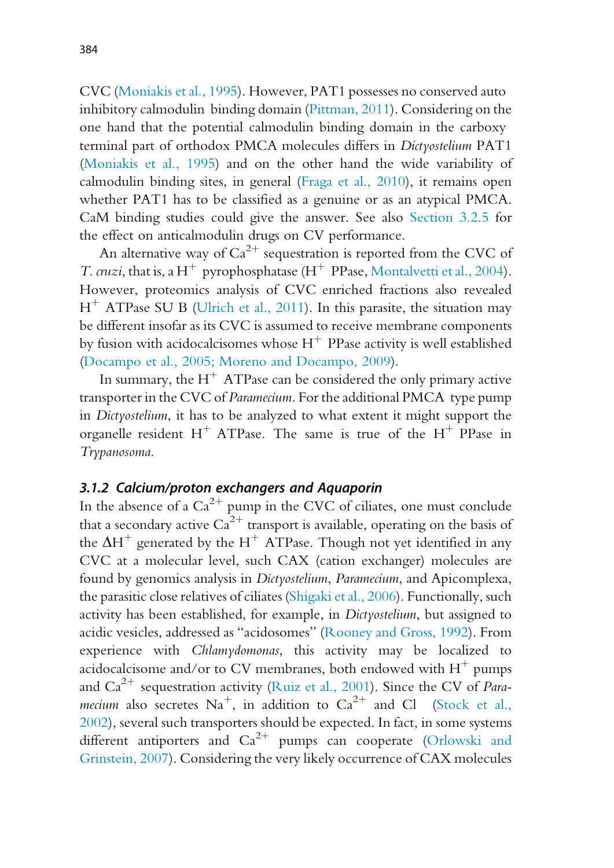CVC (Moniakis et al., 1995). However, PAT1 possesses no conserved auto inhibitory calmodulin binding domain (Pittman, 2011). Considering on the one hand that the potential calmodulin binding domain in the carboxy terminal part of orthodox PMCA molecules differs in Dictyostelium PAT1 (Moniakis et al., 1995) and on the other hand the wide variability of calmodulin binding sites, in general (Fraga et al., 2010), it remains open whether PAT1 has to be classified as a genuine or as an atypical PMCA. CaM binding studies could give the answer. See also Section 3.2.5 for the effect on anticalmodulin drugs on CV performance.

An alternative way of  $Ca^{2+}$  sequestration is reported from the CVC of *T. cruzi*, that is, a H<sup>+</sup> pyrophosphatase (H<sup>+</sup> PPase, Montalvetti et al., 2004). However, proteomics analysis of CVC enriched fractions also revealed  $H^+$  ATPase SU B (Ulrich et al., 2011). In this parasite, the situation may be different insofar as its CVC is assumed to receive membrane components by fusion with acidocalcisomes whose  $H^+$  PPase activity is well established (Docampo et al., 2005; Moreno and Docampo, 2009).

In summary, the  $H^+$  ATPase can be considered the only primary active transporter in the CVC of Paramecium. For the additional PMCA type pump in Dictyostelium, it has to be analyzed to what extent it might support the organelle resident  $H^+$  ATPase. The same is true of the  $H^+$  PPase in Trypanosoma.

#### 3.1.2 Calcium/proton exchangers and Aquaporin

In the absence of a  $Ca^{2+}$  pump in the CVC of ciliates, one must conclude that a secondary active  $Ca^{2+}$  transport is available, operating on the basis of the  $\Delta H^+$  generated by the H<sup>+</sup> ATPase. Though not yet identified in any CVC at a molecular level, such CAX (cation exchanger) molecules are found by genomics analysis in Dictyostelium, Paramecium, and Apicomplexa, the parasitic close relatives of ciliates (Shigaki et al., 2006). Functionally, such activity has been established, for example, in Dictyostelium, but assigned to acidic vesicles, addressed as "acidosomes" (Rooney and Gross, 1992). From experience with Chlamydomonas, this activity may be localized to acidocalcisome and/or to CV membranes, both endowed with  $H^+$  pumps and  $Ca^{2+}$  sequestration activity (Ruiz et al., 2001). Since the CV of *Para*mecium also secretes  $Na^+$ , in addition to  $Ca^{2+}$  and Cl (Stock et al., 2002), several such transporters should be expected. In fact, in some systems different antiporters and  $Ca^{2+}$  pumps can cooperate (Orlowski and Grinstein, 2007). Considering the very likely occurrence of CAX molecules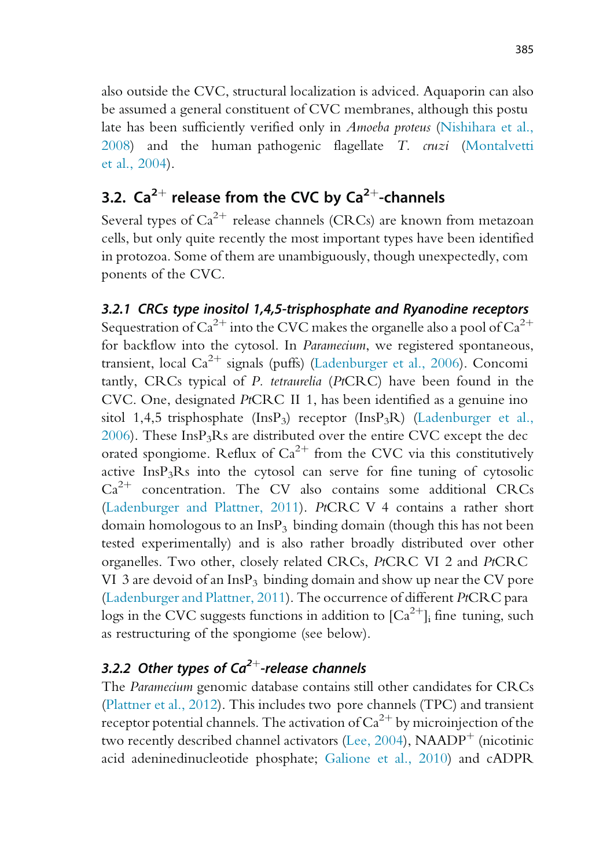also outside the CVC, structural localization is adviced. Aquaporin can also be assumed a general constituent of CVC membranes, although this postu late has been sufficiently verified only in Amoeba proteus (Nishihara et al., 2008) and the human pathogenic flagellate T. cruzi (Montalvetti et al., 2004).

# 3.2.  $Ca^{2+}$  release from the CVC by  $Ca^{2+}$ -channels

Several types of  $Ca^{2+}$  release channels (CRCs) are known from metazoan cells, but only quite recently the most important types have been identified in protozoa. Some of them are unambiguously, though unexpectedly, com ponents of the CVC.

3.2.1 CRCs type inositol 1,4,5-trisphosphate and Ryanodine receptors Sequestration of  $Ca^{2+}$  into the CVC makes the organelle also a pool of  $Ca^{2+}$ for backflow into the cytosol. In Paramecium, we registered spontaneous, transient, local  $Ca^{2+}$  signals (puffs) (Ladenburger et al., 2006). Concomi tantly, CRCs typical of P. tetraurelia (PtCRC) have been found in the CVC. One, designated PtCRC II 1, has been identified as a genuine ino sitol 1,4,5 trisphosphate  $(InsP_3)$  receptor  $(InsP_3R)$  (Ladenburger et al.,  $2006$ ). These InsP<sub>3</sub>Rs are distributed over the entire CVC except the dec orated spongiome. Reflux of  $Ca^{2+}$  from the CVC via this constitutively active  $InsP<sub>3</sub>Rs$  into the cytosol can serve for fine tuning of cytosolic  $Ca<sup>2+</sup>$  concentration. The CV also contains some additional CRCs (Ladenburger and Plattner, 2011). PtCRC V 4 contains a rather short domain homologous to an  $InsP<sub>3</sub>$  binding domain (though this has not been tested experimentally) and is also rather broadly distributed over other organelles. Two other, closely related CRCs, PtCRC VI 2 and PtCRC VI 3 are devoid of an InsP<sub>3</sub> binding domain and show up near the CV pore (Ladenburger and Plattner, 2011). The occurrence of different PtCRC para logs in the CVC suggests functions in addition to  ${[Ca}^{2+}]$ ; fine tuning, such as restructuring of the spongiome (see below).

# 3.2.2 Other types of  $Ca^{2+}$ -release channels

The Paramecium genomic database contains still other candidates for CRCs (Plattner et al., 2012). This includes two pore channels (TPC) and transient receptor potential channels. The activation of  $Ca^{2+}$  by microinjection of the two recently described channel activators (Lee, 2004),  $NAADP<sup>+</sup>$  (nicotinic acid adeninedinucleotide phosphate; Galione et al., 2010) and cADPR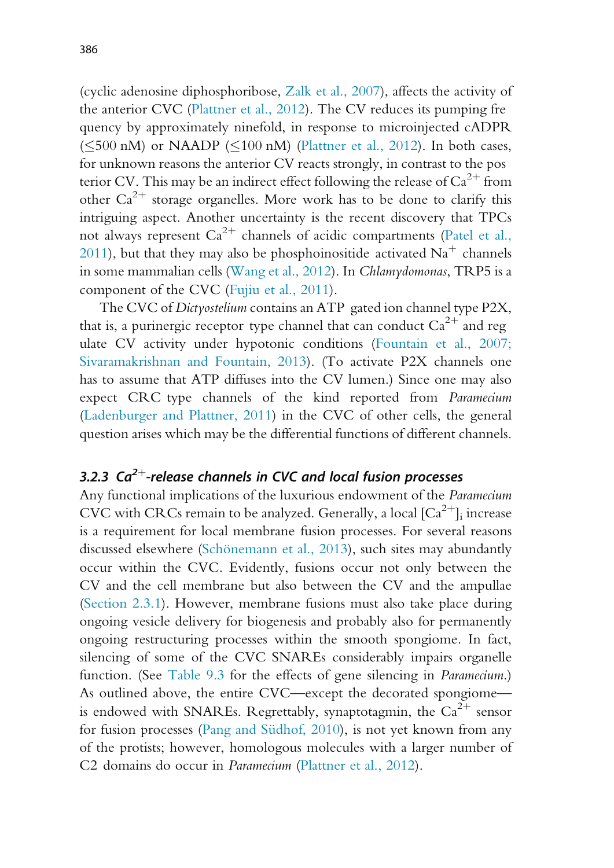(cyclic adenosine diphosphoribose, Zalk et al., 2007), affects the activity of the anterior CVC (Plattner et al., 2012). The CV reduces its pumping fre quency by approximately ninefold, in response to microinjected cADPR  $(\leq 500 \text{ nM})$  or NAADP ( $\leq 100 \text{ nM}$ ) (Plattner et al., 2012). In both cases, for unknown reasons the anterior CV reacts strongly, in contrast to the pos terior CV. This may be an indirect effect following the release of  $Ca^{2+}$  from other  $Ca^{2+}$  storage organelles. More work has to be done to clarify this intriguing aspect. Another uncertainty is the recent discovery that TPCs not always represent  $Ca^{2+}$  channels of acidic compartments (Patel et al., 2011), but that they may also be phosphoinositide activated  $Na<sup>+</sup>$  channels in some mammalian cells (Wang et al., 2012). In Chlamydomonas, TRP5 is a component of the CVC (Fujiu et al., 2011).

The CVC of Dictyostelium contains an ATP gated ion channel type P2X, that is, a purinergic receptor type channel that can conduct  $Ca^{2+}$  and reg ulate CV activity under hypotonic conditions (Fountain et al., 2007; Sivaramakrishnan and Fountain, 2013). (To activate P2X channels one has to assume that ATP diffuses into the CV lumen.) Since one may also expect CRC type channels of the kind reported from Paramecium (Ladenburger and Plattner, 2011) in the CVC of other cells, the general question arises which may be the differential functions of different channels.

# 3.2.3  $Ca^{2+}$ -release channels in CVC and local fusion processes

Any functional implications of the luxurious endowment of the Paramecium CVC with CRCs remain to be analyzed. Generally, a local  $\lbrack Ca^{2+}\rbrack _i$  increase is a requirement for local membrane fusion processes. For several reasons discussed elsewhere (Schönemann et al., 2013), such sites may abundantly occur within the CVC. Evidently, fusions occur not only between the CV and the cell membrane but also between the CV and the ampullae (Section 2.3.1). However, membrane fusions must also take place during ongoing vesicle delivery for biogenesis and probably also for permanently ongoing restructuring processes within the smooth spongiome. In fact, silencing of some of the CVC SNAREs considerably impairs organelle function. (See Table 9.3 for the effects of gene silencing in Paramecium.) As outlined above, the entire CVC—except the decorated spongiome is endowed with SNAREs. Regrettably, synaptotagmin, the  $Ca^{2+}$  sensor for fusion processes (Pang and Südhof, 2010), is not yet known from any of the protists; however, homologous molecules with a larger number of C2 domains do occur in Paramecium (Plattner et al., 2012).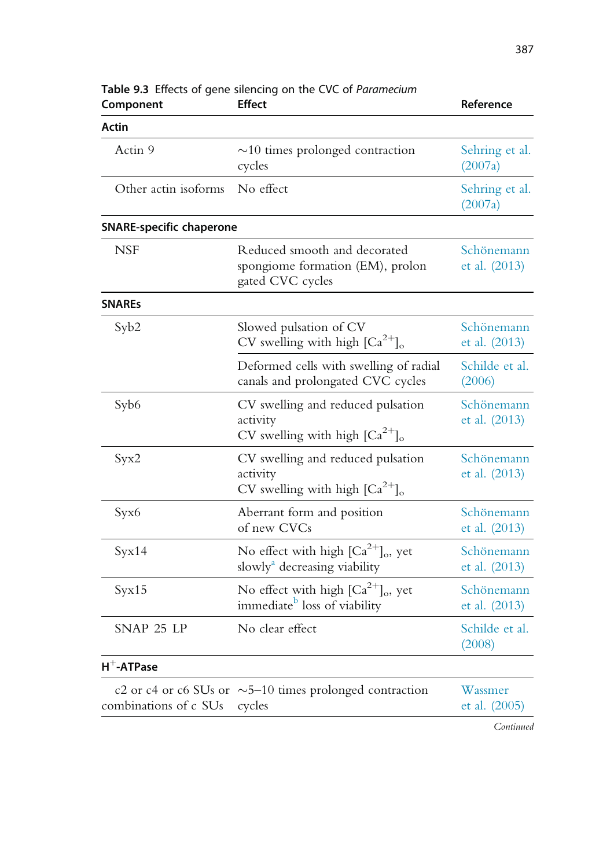| Component                       | Table 9.3 Effects of gene silencing on the CVC of Paramecium<br><b>Effect</b>                              | Reference                     |
|---------------------------------|------------------------------------------------------------------------------------------------------------|-------------------------------|
| <b>Actin</b>                    |                                                                                                            |                               |
| Actin 9                         | $\sim$ 10 times prolonged contraction<br>cycles                                                            | Sehring et al.<br>(2007a)     |
| Other actin isoforms No effect  |                                                                                                            | Sehring et al.<br>(2007a)     |
| <b>SNARE-specific chaperone</b> |                                                                                                            |                               |
| <b>NSF</b>                      | Reduced smooth and decorated<br>spongiome formation (EM), prolon<br>gated CVC cycles                       | Schönemann<br>et al. $(2013)$ |
| <b>SNARES</b>                   |                                                                                                            |                               |
| Syb2                            | Slowed pulsation of CV<br>CV swelling with high $\left[Ca^{2+}\right]_0$                                   | Schönemann<br>et al. $(2013)$ |
|                                 | Deformed cells with swelling of radial<br>canals and prolongated CVC cycles                                | Schilde et al.<br>(2006)      |
| Syb <sub>6</sub>                | CV swelling and reduced pulsation<br>activity<br>CV swelling with high $\left[Ca^{2+}\right]$ <sub>o</sub> | Schönemann<br>et al. $(2013)$ |
| Syx2                            | CV swelling and reduced pulsation<br>activity<br>CV swelling with high $\left[Ca^{2+}\right]_{0}$          | Schönemann<br>et al. $(2013)$ |
| Syx6                            | Aberrant form and position<br>of new CVCs                                                                  | Schönemann<br>et al. $(2013)$ |
| Syx14                           | No effect with high $\left[Ca^{2+}\right]$ <sub>o</sub> , yet<br>slowly <sup>a</sup> decreasing viability  | Schönemann<br>et al. (2013)   |
| Syx15                           | No effect with high $\left[Ca^{2+}\right]$ <sub>o</sub> , yet<br>immediate <sup>b</sup> loss of viability  | Schönemann<br>et al. $(2013)$ |
| SNAP 25 LP                      | No clear effect                                                                                            | Schilde et al.<br>(2008)      |
| $H^+$ -ATPase                   |                                                                                                            |                               |
| combinations of c SUs           | c2 or c4 or c6 SUs or $\sim$ 5–10 times prolonged contraction<br>cycles                                    | Wassmer<br>et al. $(2005)$    |

| Table 9.3 Effects of gene silencing on the CVC of Paramecium |  |               |  |  |
|--------------------------------------------------------------|--|---------------|--|--|
| Component                                                    |  | <b>Effect</b> |  |  |

Continued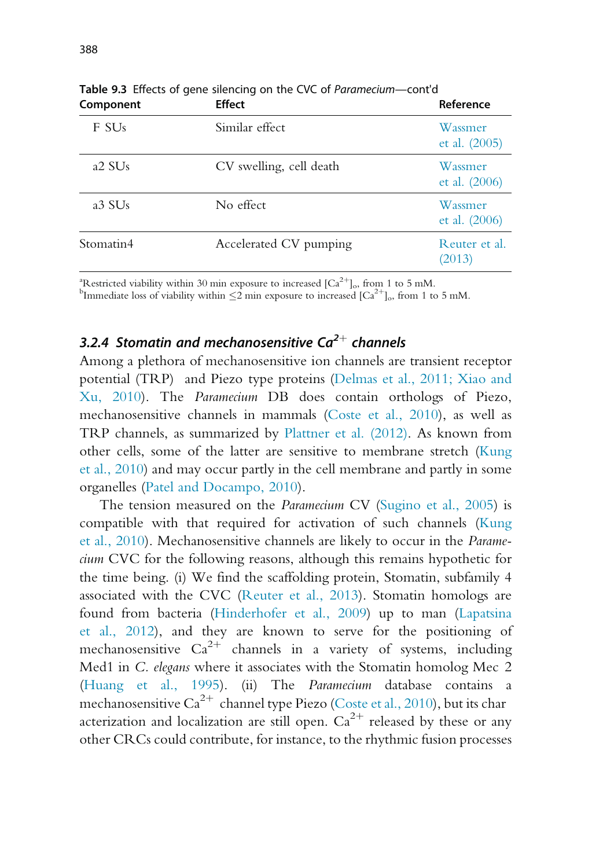| Component                      | <b>Effect</b>           | Reference                  |
|--------------------------------|-------------------------|----------------------------|
| F SU <sub>s</sub>              | Similar effect          | Wassmer<br>et al. $(2005)$ |
| a <sub>2</sub> SU <sub>s</sub> | CV swelling, cell death | Wassmer<br>et al. $(2006)$ |
| a3 SU <sub>s</sub>             | No effect               | Wassmer<br>et al. $(2006)$ |
| Stomatin4                      | Accelerated CV pumping  | Reuter et al.<br>(2013)    |

Table 9.3 Effects of gene silencing on the CVC of Paramecium—cont'd

<sup>a</sup>Restricted viability within 30 min exposure to increased  $[Ca^{2+}]_o$ , from 1 to 5 mM.<br><sup>b</sup>Immediate loss of viability within  $\leq$ 2 min exposure to increased  $[Ca^{2+}]_o$ , from 1 to 5 mM.

# 3.2.4 Stomatin and mechanosensitive C $a^{2+}$  channels

Among a plethora of mechanosensitive ion channels are transient receptor potential (TRP) and Piezo type proteins (Delmas et al., 2011; Xiao and Xu, 2010). The Paramecium DB does contain orthologs of Piezo, mechanosensitive channels in mammals (Coste et al., 2010), as well as TRP channels, as summarized by Plattner et al. (2012). As known from other cells, some of the latter are sensitive to membrane stretch (Kung et al., 2010) and may occur partly in the cell membrane and partly in some organelles (Patel and Docampo, 2010).

The tension measured on the Paramecium CV (Sugino et al., 2005) is compatible with that required for activation of such channels (Kung et al., 2010). Mechanosensitive channels are likely to occur in the Paramecium CVC for the following reasons, although this remains hypothetic for the time being. (i) We find the scaffolding protein, Stomatin, subfamily 4 associated with the CVC (Reuter et al., 2013). Stomatin homologs are found from bacteria (Hinderhofer et al., 2009) up to man (Lapatsina et al., 2012), and they are known to serve for the positioning of mechanosensitive  $Ca^{2+}$  channels in a variety of systems, including Med1 in C. elegans where it associates with the Stomatin homolog Mec 2 (Huang et al., 1995). (ii) The Paramecium database contains a mechanosensitive  $Ca^{2+}$  channel type Piezo (Coste et al., 2010), but its char acterization and localization are still open.  $Ca^{2+}$  released by these or any other CRCs could contribute, for instance, to the rhythmic fusion processes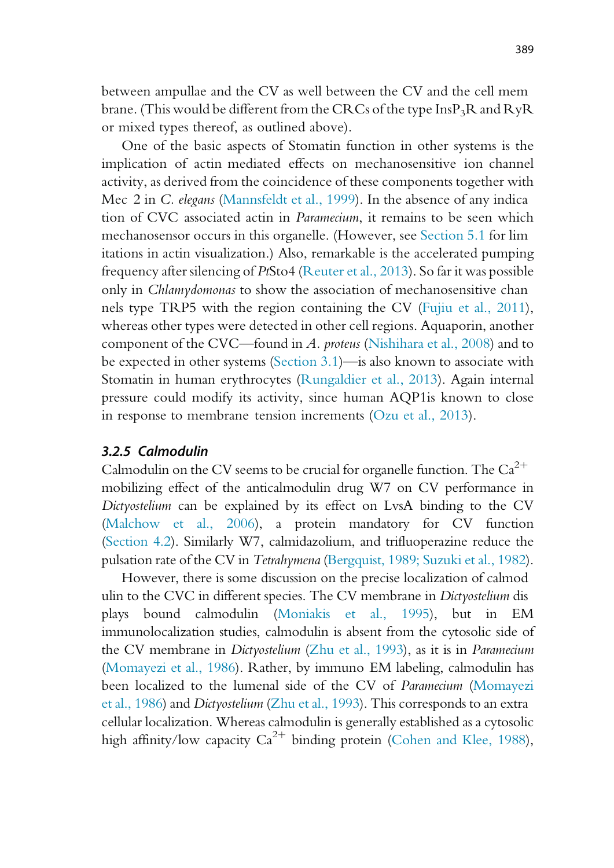between ampullae and the CV as well between the CV and the cell mem brane. (This would be different from the CRCs of the type  $InsP<sub>3</sub>R$  and  $RyR$ or mixed types thereof, as outlined above).

One of the basic aspects of Stomatin function in other systems is the implication of actin mediated effects on mechanosensitive ion channel activity, as derived from the coincidence of these components together with Mec 2 in C. elegans (Mannsfeldt et al., 1999). In the absence of any indica tion of CVC associated actin in Paramecium, it remains to be seen which mechanosensor occurs in this organelle. (However, see Section 5.1 for lim itations in actin visualization.) Also, remarkable is the accelerated pumping frequency after silencing of PtSto4 (Reuter et al., 2013). So far it was possible only in Chlamydomonas to show the association of mechanosensitive chan nels type TRP5 with the region containing the CV (Fujiu et al., 2011), whereas other types were detected in other cell regions. Aquaporin, another component of the CVC—found in A. proteus (Nishihara et al., 2008) and to be expected in other systems (Section 3.1)—is also known to associate with Stomatin in human erythrocytes (Rungaldier et al., 2013). Again internal pressure could modify its activity, since human AQP1is known to close in response to membrane tension increments (Ozu et al., 2013).

#### 3.2.5 Calmodulin

Calmodulin on the CV seems to be crucial for organelle function. The  $Ca^{2+}$ mobilizing effect of the anticalmodulin drug W7 on CV performance in Dictyostelium can be explained by its effect on LvsA binding to the CV (Malchow et al., 2006), a protein mandatory for CV function (Section 4.2). Similarly W7, calmidazolium, and trifluoperazine reduce the pulsation rate of the CV in Tetrahymena (Bergquist, 1989; Suzuki et al., 1982).

However, there is some discussion on the precise localization of calmod ulin to the CVC in different species. The CV membrane in Dictyostelium dis plays bound calmodulin (Moniakis et al., 1995), but in EM immunolocalization studies, calmodulin is absent from the cytosolic side of the CV membrane in Dictyostelium (Zhu et al., 1993), as it is in Paramecium (Momayezi et al., 1986). Rather, by immuno EM labeling, calmodulin has been localized to the lumenal side of the CV of Paramecium (Momayezi et al., 1986) and Dictyostelium (Zhu et al., 1993). This corresponds to an extra cellular localization. Whereas calmodulin is generally established as a cytosolic high affinity/low capacity  $Ca^{2+}$  binding protein (Cohen and Klee, 1988),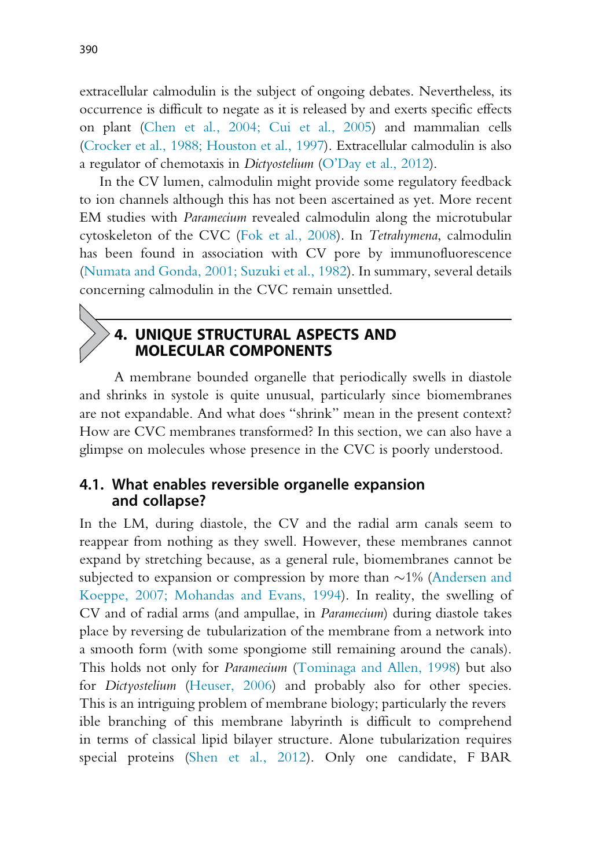extracellular calmodulin is the subject of ongoing debates. Nevertheless, its occurrence is difficult to negate as it is released by and exerts specific effects on plant (Chen et al., 2004; Cui et al., 2005) and mammalian cells (Crocker et al., 1988; Houston et al., 1997). Extracellular calmodulin is also a regulator of chemotaxis in Dictyostelium (O'Day et al., 2012).

In the CV lumen, calmodulin might provide some regulatory feedback to ion channels although this has not been ascertained as yet. More recent EM studies with Paramecium revealed calmodulin along the microtubular cytoskeleton of the CVC (Fok et al., 2008). In Tetrahymena, calmodulin has been found in association with CV pore by immunofluorescence (Numata and Gonda, 2001; Suzuki et al., 1982). In summary, several details concerning calmodulin in the CVC remain unsettled.

# 4. UNIQUE STRUCTURAL ASPECTS AND MOLECULAR COMPONENTS

A membrane bounded organelle that periodically swells in diastole and shrinks in systole is quite unusual, particularly since biomembranes are not expandable. And what does "shrink" mean in the present context? How are CVC membranes transformed? In this section, we can also have a glimpse on molecules whose presence in the CVC is poorly understood.

#### 4.1. What enables reversible organelle expansion and collapse?

In the LM, during diastole, the CV and the radial arm canals seem to reappear from nothing as they swell. However, these membranes cannot expand by stretching because, as a general rule, biomembranes cannot be subjected to expansion or compression by more than  $\sim$ 1% (Andersen and Koeppe, 2007; Mohandas and Evans, 1994). In reality, the swelling of CV and of radial arms (and ampullae, in Paramecium) during diastole takes place by reversing de tubularization of the membrane from a network into a smooth form (with some spongiome still remaining around the canals). This holds not only for Paramecium (Tominaga and Allen, 1998) but also for Dictyostelium (Heuser, 2006) and probably also for other species. This is an intriguing problem of membrane biology; particularly the revers ible branching of this membrane labyrinth is difficult to comprehend in terms of classical lipid bilayer structure. Alone tubularization requires special proteins (Shen et al., 2012). Only one candidate, F BAR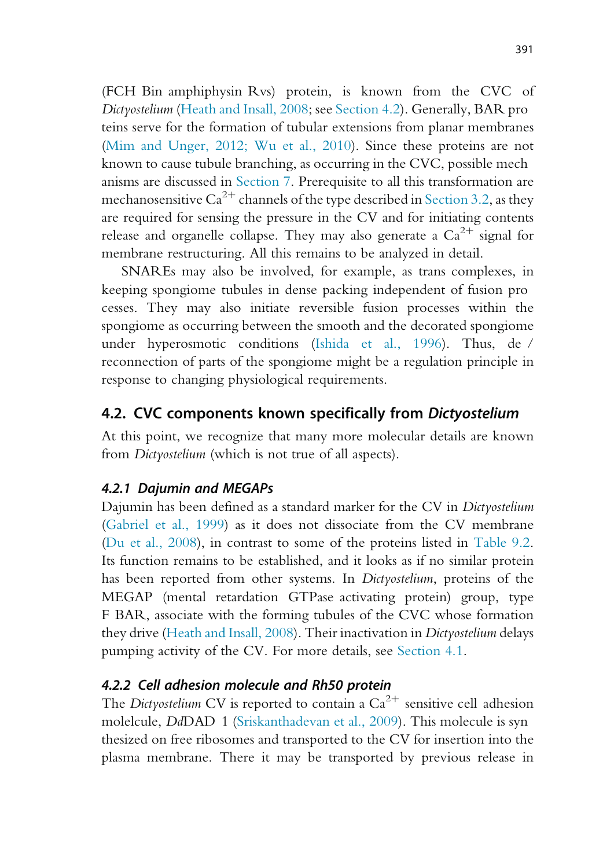(FCH Bin amphiphysin Rvs) protein, is known from the CVC of Dictyostelium (Heath and Insall, 2008; see Section 4.2). Generally, BAR pro teins serve for the formation of tubular extensions from planar membranes (Mim and Unger, 2012; Wu et al., 2010). Since these proteins are not known to cause tubule branching, as occurring in the CVC, possible mech anisms are discussed in Section 7. Prerequisite to all this transformation are mechanosensitive  $Ca^{2+}$  channels of the type described in Section 3.2, as they are required for sensing the pressure in the CV and for initiating contents release and organelle collapse. They may also generate a  $Ca^{2+}$  signal for membrane restructuring. All this remains to be analyzed in detail.

SNAREs may also be involved, for example, as trans complexes, in keeping spongiome tubules in dense packing independent of fusion pro cesses. They may also initiate reversible fusion processes within the spongiome as occurring between the smooth and the decorated spongiome under hyperosmotic conditions (Ishida et al., 1996). Thus, de / reconnection of parts of the spongiome might be a regulation principle in response to changing physiological requirements.

#### 4.2. CVC components known specifically from Dictyostelium

At this point, we recognize that many more molecular details are known from *Dictyostelium* (which is not true of all aspects).

#### 4.2.1 Dajumin and MEGAPs

Dajumin has been defined as a standard marker for the CV in Dictyostelium (Gabriel et al., 1999) as it does not dissociate from the CV membrane (Du et al., 2008), in contrast to some of the proteins listed in Table 9.2. Its function remains to be established, and it looks as if no similar protein has been reported from other systems. In Dictyostelium, proteins of the MEGAP (mental retardation GTPase activating protein) group, type F BAR, associate with the forming tubules of the CVC whose formation they drive (Heath and Insall, 2008). Their inactivation in Dictyostelium delays pumping activity of the CV. For more details, see Section 4.1.

#### 4.2.2 Cell adhesion molecule and Rh50 protein

The Dictyostelium CV is reported to contain a  $Ca^{2+}$  sensitive cell adhesion molelcule, DdDAD 1 (Sriskanthadevan et al., 2009). This molecule is syn thesized on free ribosomes and transported to the CV for insertion into the plasma membrane. There it may be transported by previous release in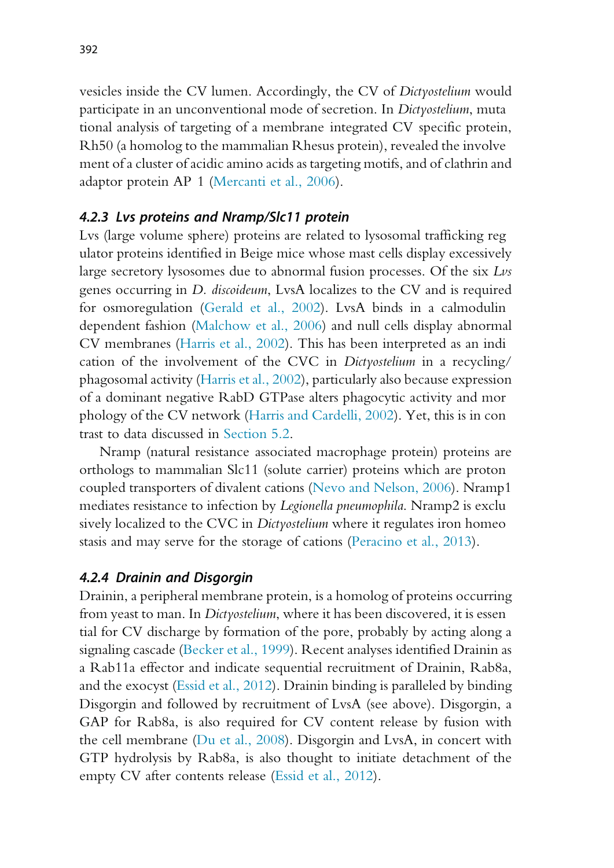vesicles inside the CV lumen. Accordingly, the CV of Dictyostelium would participate in an unconventional mode of secretion. In Dictyostelium, muta tional analysis of targeting of a membrane integrated CV specific protein, Rh50 (a homolog to the mammalian Rhesus protein), revealed the involve ment of a cluster of acidic amino acids as targeting motifs, and of clathrin and adaptor protein AP 1 (Mercanti et al., 2006).

#### 4.2.3 Lvs proteins and Nramp/Slc11 protein

Lvs (large volume sphere) proteins are related to lysosomal trafficking reg ulator proteins identified in Beige mice whose mast cells display excessively large secretory lysosomes due to abnormal fusion processes. Of the six Lvs genes occurring in D. discoideum, LvsA localizes to the CV and is required for osmoregulation (Gerald et al., 2002). LvsA binds in a calmodulin dependent fashion (Malchow et al., 2006) and null cells display abnormal CV membranes (Harris et al., 2002). This has been interpreted as an indi cation of the involvement of the CVC in Dictyostelium in a recycling/ phagosomal activity (Harris et al., 2002), particularly also because expression of a dominant negative RabD GTPase alters phagocytic activity and mor phology of the CV network (Harris and Cardelli, 2002). Yet, this is in con trast to data discussed in Section 5.2.

Nramp (natural resistance associated macrophage protein) proteins are orthologs to mammalian Slc11 (solute carrier) proteins which are proton coupled transporters of divalent cations (Nevo and Nelson, 2006). Nramp1 mediates resistance to infection by *Legionella pneumophila*. Nramp2 is exclu sively localized to the CVC in Dictyostelium where it regulates iron homeo stasis and may serve for the storage of cations (Peracino et al., 2013).

#### 4.2.4 Drainin and Disgorgin

Drainin, a peripheral membrane protein, is a homolog of proteins occurring from yeast to man. In Dictyostelium, where it has been discovered, it is essen tial for CV discharge by formation of the pore, probably by acting along a signaling cascade (Becker et al., 1999). Recent analyses identified Drainin as a Rab11a effector and indicate sequential recruitment of Drainin, Rab8a, and the exocyst (Essid et al., 2012). Drainin binding is paralleled by binding Disgorgin and followed by recruitment of LvsA (see above). Disgorgin, a GAP for Rab8a, is also required for CV content release by fusion with the cell membrane (Du et al., 2008). Disgorgin and LvsA, in concert with GTP hydrolysis by Rab8a, is also thought to initiate detachment of the empty CV after contents release (Essid et al., 2012).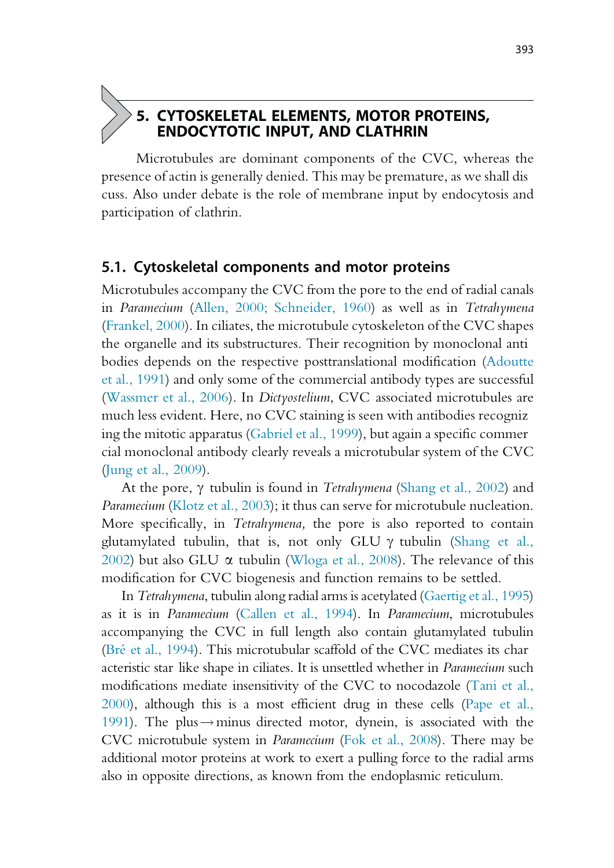#### 5. CYTOSKELETAL ELEMENTS, MOTOR PROTEINS, ENDOCYTOTIC INPUT, AND CLATHRIN

Microtubules are dominant components of the CVC, whereas the presence of actin is generally denied. This may be premature, as we shall dis cuss. Also under debate is the role of membrane input by endocytosis and participation of clathrin.

#### 5.1. Cytoskeletal components and motor proteins

Microtubules accompany the CVC from the pore to the end of radial canals in Paramecium (Allen, 2000; Schneider, 1960) as well as in Tetrahymena (Frankel, 2000). In ciliates, the microtubule cytoskeleton of the CVC shapes the organelle and its substructures. Their recognition by monoclonal anti bodies depends on the respective posttranslational modification (Adoutte et al., 1991) and only some of the commercial antibody types are successful (Wassmer et al., 2006). In Dictyostelium, CVC associated microtubules are much less evident. Here, no CVC staining is seen with antibodies recogniz ing the mitotic apparatus (Gabriel et al., 1999), but again a specific commer cial monoclonal antibody clearly reveals a microtubular system of the CVC (Jung et al., 2009).

At the pore,  $\gamma$  tubulin is found in *Tetrahymena* (Shang et al., 2002) and Paramecium (Klotz et al., 2003); it thus can serve for microtubule nucleation. More specifically, in Tetrahymena, the pore is also reported to contain glutamylated tubulin, that is, not only GLU  $\gamma$  tubulin (Shang et al., 2002) but also GLU  $\alpha$  tubulin (Wloga et al., 2008). The relevance of this modification for CVC biogenesis and function remains to be settled.

In Tetrahymena, tubulin along radial arms is acetylated (Gaertig et al., 1995) as it is in Paramecium (Callen et al., 1994). In Paramecium, microtubules accompanying the CVC in full length also contain glutamylated tubulin (Bré et al., 1994). This microtubular scaffold of the CVC mediates its char acteristic star like shape in ciliates. It is unsettled whether in Paramecium such modifications mediate insensitivity of the CVC to nocodazole (Tani et al., 2000), although this is a most efficient drug in these cells (Pape et al., 1991). The plus  $\rightarrow$  minus directed motor, dynein, is associated with the CVC microtubule system in Paramecium (Fok et al., 2008). There may be additional motor proteins at work to exert a pulling force to the radial arms also in opposite directions, as known from the endoplasmic reticulum.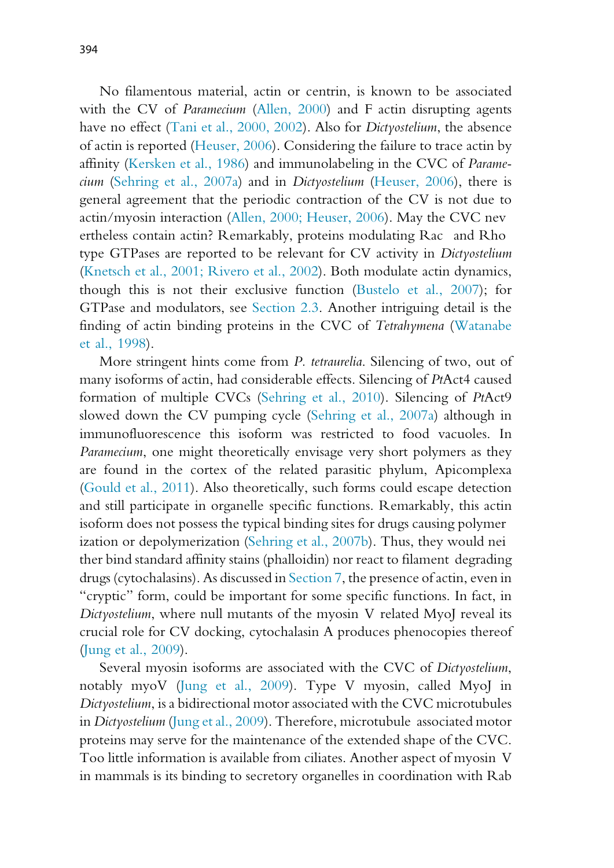No filamentous material, actin or centrin, is known to be associated with the CV of *Paramecium* (Allen, 2000) and F actin disrupting agents have no effect (Tani et al., 2000, 2002). Also for Dictyostelium, the absence of actin is reported (Heuser, 2006). Considering the failure to trace actin by affinity (Kersken et al., 1986) and immunolabeling in the CVC of Paramecium (Sehring et al., 2007a) and in Dictyostelium (Heuser, 2006), there is general agreement that the periodic contraction of the CV is not due to actin/myosin interaction (Allen, 2000; Heuser, 2006). May the CVC nev ertheless contain actin? Remarkably, proteins modulating Rac and Rho type GTPases are reported to be relevant for CV activity in Dictyostelium (Knetsch et al., 2001; Rivero et al., 2002). Both modulate actin dynamics, though this is not their exclusive function (Bustelo et al., 2007); for GTPase and modulators, see Section 2.3. Another intriguing detail is the finding of actin binding proteins in the CVC of Tetrahymena (Watanabe et al., 1998).

More stringent hints come from P. tetraurelia. Silencing of two, out of many isoforms of actin, had considerable effects. Silencing of PtAct4 caused formation of multiple CVCs (Sehring et al., 2010). Silencing of PtAct9 slowed down the CV pumping cycle (Sehring et al., 2007a) although in immunofluorescence this isoform was restricted to food vacuoles. In Paramecium, one might theoretically envisage very short polymers as they are found in the cortex of the related parasitic phylum, Apicomplexa (Gould et al., 2011). Also theoretically, such forms could escape detection and still participate in organelle specific functions. Remarkably, this actin isoform does not possess the typical binding sites for drugs causing polymer ization or depolymerization (Sehring et al., 2007b). Thus, they would nei ther bind standard affinity stains (phalloidin) nor react to filament degrading drugs (cytochalasins). As discussed in Section 7, the presence of actin, even in "cryptic" form, could be important for some specific functions. In fact, in Dictyostelium, where null mutants of the myosin V related MyoJ reveal its crucial role for CV docking, cytochalasin A produces phenocopies thereof (Jung et al., 2009).

Several myosin isoforms are associated with the CVC of Dictyostelium, notably myoV (Jung et al., 2009). Type V myosin, called MyoJ in Dictyostelium, is a bidirectional motor associated with the CVC microtubules in Dictyostelium (Jung et al., 2009). Therefore, microtubule associated motor proteins may serve for the maintenance of the extended shape of the CVC. Too little information is available from ciliates. Another aspect of myosin V in mammals is its binding to secretory organelles in coordination with Rab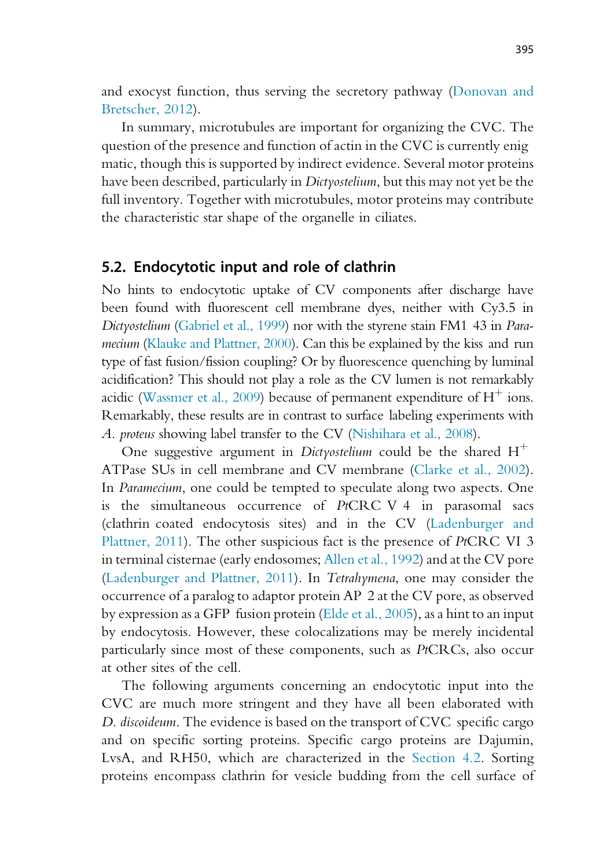and exocyst function, thus serving the secretory pathway (Donovan and Bretscher, 2012).

In summary, microtubules are important for organizing the CVC. The question of the presence and function of actin in the CVC is currently enig matic, though this is supported by indirect evidence. Several motor proteins have been described, particularly in Dictyostelium, but this may not yet be the full inventory. Together with microtubules, motor proteins may contribute the characteristic star shape of the organelle in ciliates.

#### 5.2. Endocytotic input and role of clathrin

No hints to endocytotic uptake of CV components after discharge have been found with fluorescent cell membrane dyes, neither with Cy3.5 in Dictyostelium (Gabriel et al., 1999) nor with the styrene stain FM1 43 in Paramecium (Klauke and Plattner, 2000). Can this be explained by the kiss and run type of fast fusion/fission coupling? Or by fluorescence quenching by luminal acidification? This should not play a role as the CV lumen is not remarkably acidic (Wassmer et al., 2009) because of permanent expenditure of  $H^+$  ions. Remarkably, these results are in contrast to surface labeling experiments with A. proteus showing label transfer to the CV (Nishihara et al., 2008).

One suggestive argument in Dictyostelium could be the shared  $H^+$ ATPase SUs in cell membrane and CV membrane (Clarke et al., 2002). In Paramecium, one could be tempted to speculate along two aspects. One is the simultaneous occurrence of PtCRC V 4 in parasomal sacs (clathrin coated endocytosis sites) and in the CV (Ladenburger and Plattner, 2011). The other suspicious fact is the presence of PtCRC VI 3 in terminal cisternae (early endosomes; Allen et al., 1992) and at the CV pore (Ladenburger and Plattner, 2011). In Tetrahymena, one may consider the occurrence of a paralog to adaptor protein AP 2 at the CV pore, as observed by expression as a GFP fusion protein (Elde et al., 2005), as a hint to an input by endocytosis. However, these colocalizations may be merely incidental particularly since most of these components, such as PtCRCs, also occur at other sites of the cell.

The following arguments concerning an endocytotic input into the CVC are much more stringent and they have all been elaborated with D. *discoideum*. The evidence is based on the transport of CVC specific cargo and on specific sorting proteins. Specific cargo proteins are Dajumin, LvsA, and RH50, which are characterized in the Section 4.2. Sorting proteins encompass clathrin for vesicle budding from the cell surface of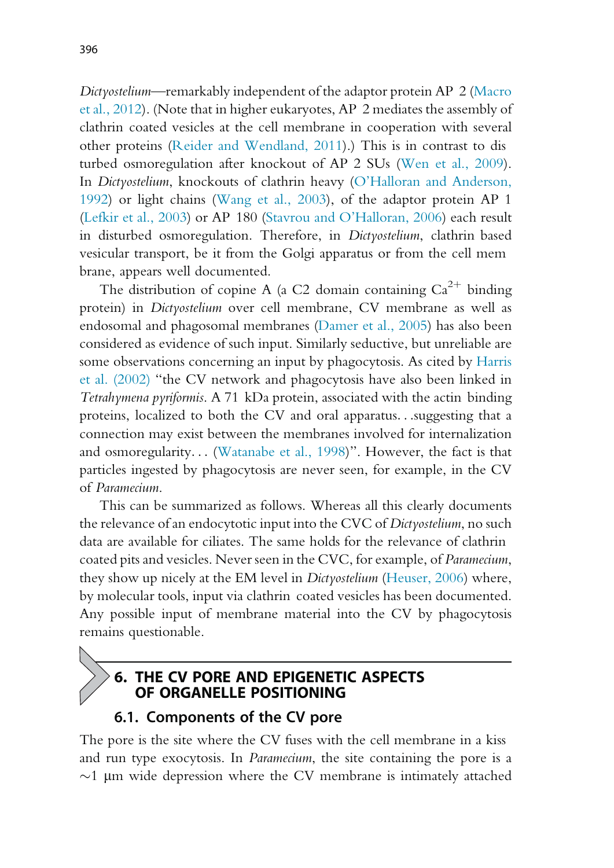Dictyostelium—remarkably independent of the adaptor protein AP 2 (Macro et al., 2012). (Note that in higher eukaryotes, AP 2 mediates the assembly of clathrin coated vesicles at the cell membrane in cooperation with several other proteins (Reider and Wendland, 2011).) This is in contrast to dis turbed osmoregulation after knockout of AP 2 SUs (Wen et al., 2009). In Dictyostelium, knockouts of clathrin heavy (O'Halloran and Anderson, 1992) or light chains (Wang et al., 2003), of the adaptor protein AP 1 (Lefkir et al., 2003) or AP 180 (Stavrou and O'Halloran, 2006) each result in disturbed osmoregulation. Therefore, in Dictyostelium, clathrin based vesicular transport, be it from the Golgi apparatus or from the cell mem brane, appears well documented.

The distribution of copine A (a C2 domain containing  $Ca^{2+}$  binding protein) in Dictyostelium over cell membrane, CV membrane as well as endosomal and phagosomal membranes (Damer et al., 2005) has also been considered as evidence of such input. Similarly seductive, but unreliable are some observations concerning an input by phagocytosis. As cited by Harris et al. (2002) "the CV network and phagocytosis have also been linked in Tetrahymena pyriformis. A 71 kDa protein, associated with the actin binding proteins, localized to both the CV and oral apparatus...suggesting that a connection may exist between the membranes involved for internalization and osmoregularity... (Watanabe et al., 1998)". However, the fact is that particles ingested by phagocytosis are never seen, for example, in the CV of Paramecium.

This can be summarized as follows. Whereas all this clearly documents the relevance of an endocytotic input into the CVC of Dictyostelium, no such data are available for ciliates. The same holds for the relevance of clathrin coated pits and vesicles. Never seen in the CVC, for example, of Paramecium, they show up nicely at the EM level in Dictyostelium (Heuser, 2006) where, by molecular tools, input via clathrin coated vesicles has been documented. Any possible input of membrane material into the CV by phagocytosis remains questionable.

# 6. THE CV PORE AND EPIGENETIC ASPECTS OF ORGANELLE POSITIONING

### 6.1. Components of the CV pore

The pore is the site where the CV fuses with the cell membrane in a kiss and run type exocytosis. In Paramecium, the site containing the pore is a  $\sim$ 1 µm wide depression where the CV membrane is intimately attached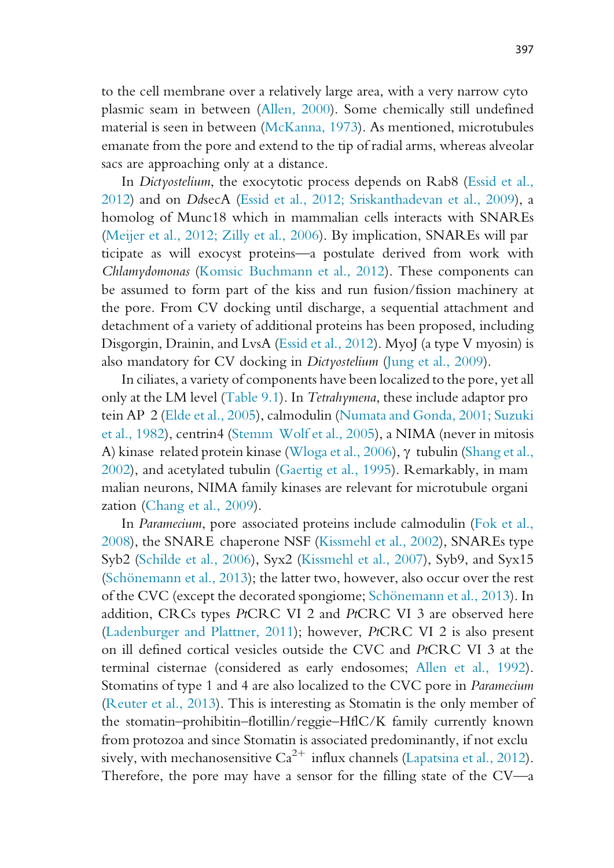to the cell membrane over a relatively large area, with a very narrow cyto plasmic seam in between (Allen, 2000). Some chemically still undefined material is seen in between (McKanna, 1973). As mentioned, microtubules emanate from the pore and extend to the tip of radial arms, whereas alveolar sacs are approaching only at a distance.

In Dictyostelium, the exocytotic process depends on Rab8 (Essid et al., 2012) and on DdsecA (Essid et al., 2012; Sriskanthadevan et al., 2009), a homolog of Munc18 which in mammalian cells interacts with SNAREs (Meijer et al., 2012; Zilly et al., 2006). By implication, SNAREs will par ticipate as will exocyst proteins—a postulate derived from work with Chlamydomonas (Komsic Buchmann et al., 2012). These components can be assumed to form part of the kiss and run fusion/fission machinery at the pore. From CV docking until discharge, a sequential attachment and detachment of a variety of additional proteins has been proposed, including Disgorgin, Drainin, and LvsA (Essid et al., 2012). MyoJ (a type V myosin) is also mandatory for CV docking in Dictyostelium (Jung et al., 2009).

In ciliates, a variety of components have been localized to the pore, yet all only at the LM level (Table 9.1). In Tetrahymena, these include adaptor pro tein AP 2 (Elde et al., 2005), calmodulin (Numata and Gonda, 2001; Suzuki et al., 1982), centrin4 (Stemm Wolf et al., 2005), a NIMA (never in mitosis A) kinase related protein kinase (Wloga et al., 2006),  $\gamma$  tubulin (Shang et al., 2002), and acetylated tubulin (Gaertig et al., 1995). Remarkably, in mam malian neurons, NIMA family kinases are relevant for microtubule organi zation (Chang et al., 2009).

In Paramecium, pore associated proteins include calmodulin (Fok et al., 2008), the SNARE chaperone NSF (Kissmehl et al., 2002), SNAREs type Syb2 (Schilde et al., 2006), Syx2 (Kissmehl et al., 2007), Syb9, and Syx15 (Schönemann et al., 2013); the latter two, however, also occur over the rest of the CVC (except the decorated spongiome; Schönemann et al., 2013). In addition, CRCs types PtCRC VI 2 and PtCRC VI 3 are observed here (Ladenburger and Plattner, 2011); however, PtCRC VI 2 is also present on ill defined cortical vesicles outside the CVC and PtCRC VI 3 at the terminal cisternae (considered as early endosomes; Allen et al., 1992). Stomatins of type 1 and 4 are also localized to the CVC pore in Paramecium (Reuter et al., 2013). This is interesting as Stomatin is the only member of the stomatin–prohibitin–flotillin/reggie–HflC/K family currently known from protozoa and since Stomatin is associated predominantly, if not exclu sively, with mechanosensitive  $Ca^{2+}$  influx channels (Lapatsina et al., 2012). Therefore, the pore may have a sensor for the filling state of the CV—a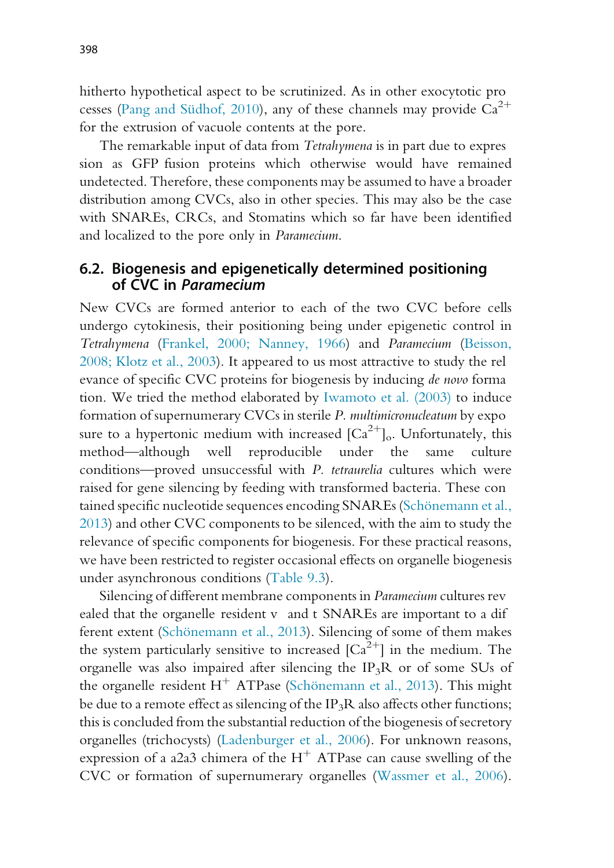hitherto hypothetical aspect to be scrutinized. As in other exocytotic pro cesses (Pang and Südhof, 2010), any of these channels may provide  $Ca^{2+}$ for the extrusion of vacuole contents at the pore.

The remarkable input of data from Tetrahymena is in part due to expres sion as GFP fusion proteins which otherwise would have remained undetected. Therefore, these components may be assumed to have a broader distribution among CVCs, also in other species. This may also be the case with SNAREs, CRCs, and Stomatins which so far have been identified and localized to the pore only in Paramecium.

### 6.2. Biogenesis and epigenetically determined positioning of CVC in Paramecium

New CVCs are formed anterior to each of the two CVC before cells undergo cytokinesis, their positioning being under epigenetic control in Tetrahymena (Frankel, 2000; Nanney, 1966) and Paramecium (Beisson, 2008; Klotz et al., 2003). It appeared to us most attractive to study the rel evance of specific CVC proteins for biogenesis by inducing de novo forma tion. We tried the method elaborated by Iwamoto et al. (2003) to induce formation of supernumerary CVCs in sterile P. multimicronucleatum by expo sure to a hypertonic medium with increased  $\left[Ca^{2+}\right]$ <sub>o</sub>. Unfortunately, this method—although well reproducible under the same culture conditions—proved unsuccessful with P. tetraurelia cultures which were raised for gene silencing by feeding with transformed bacteria. These con tained specific nucleotide sequences encoding SNAREs (Schönemann et al., 2013) and other CVC components to be silenced, with the aim to study the relevance of specific components for biogenesis. For these practical reasons, we have been restricted to register occasional effects on organelle biogenesis under asynchronous conditions (Table 9.3).

Silencing of different membrane components in Paramecium cultures rev ealed that the organelle resident v and t SNAREs are important to a dif ferent extent (Schönemann et al., 2013). Silencing of some of them makes the system particularly sensitive to increased  $[Ca^{2+}]$  in the medium. The organelle was also impaired after silencing the  $IP_3R$  or of some SUs of the organelle resident  $H^+$  ATPase (Schönemann et al., 2013). This might be due to a remote effect as silencing of the IP<sub>3</sub>R also affects other functions; this is concluded from the substantial reduction of the biogenesis of secretory organelles (trichocysts) (Ladenburger et al., 2006). For unknown reasons, expression of a a2a3 chimera of the  $H^+$  ATPase can cause swelling of the CVC or formation of supernumerary organelles (Wassmer et al., 2006).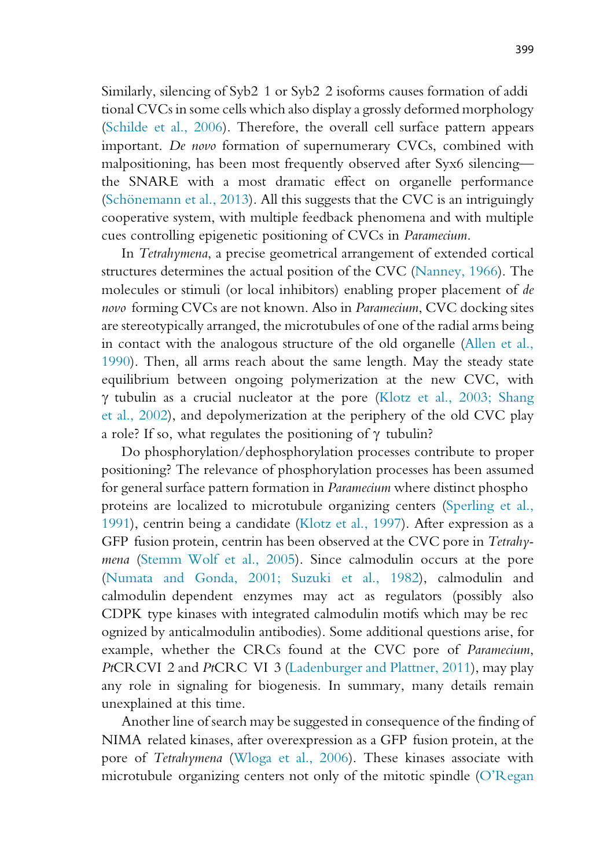Similarly, silencing of Syb2 1 or Syb2 2 isoforms causes formation of addi tional CVCs in some cells which also display a grossly deformed morphology (Schilde et al., 2006). Therefore, the overall cell surface pattern appears important. De novo formation of supernumerary CVCs, combined with malpositioning, has been most frequently observed after Syx6 silencing the SNARE with a most dramatic effect on organelle performance (Schönemann et al., 2013). All this suggests that the CVC is an intriguingly cooperative system, with multiple feedback phenomena and with multiple cues controlling epigenetic positioning of CVCs in Paramecium.

In Tetrahymena, a precise geometrical arrangement of extended cortical structures determines the actual position of the CVC (Nanney, 1966). The molecules or stimuli (or local inhibitors) enabling proper placement of de novo forming CVCs are not known. Also in Paramecium, CVC docking sites are stereotypically arranged, the microtubules of one of the radial arms being in contact with the analogous structure of the old organelle (Allen et al., 1990). Then, all arms reach about the same length. May the steady state equilibrium between ongoing polymerization at the new CVC, with  $\gamma$  tubulin as a crucial nucleator at the pore (Klotz et al., 2003; Shang et al., 2002), and depolymerization at the periphery of the old CVC play a role? If so, what regulates the positioning of  $\gamma$  tubulin?

Do phosphorylation/dephosphorylation processes contribute to proper positioning? The relevance of phosphorylation processes has been assumed for general surface pattern formation in Paramecium where distinct phospho proteins are localized to microtubule organizing centers (Sperling et al., 1991), centrin being a candidate (Klotz et al., 1997). After expression as a GFP fusion protein, centrin has been observed at the CVC pore in Tetrahymena (Stemm Wolf et al., 2005). Since calmodulin occurs at the pore (Numata and Gonda, 2001; Suzuki et al., 1982), calmodulin and calmodulin dependent enzymes may act as regulators (possibly also CDPK type kinases with integrated calmodulin motifs which may be rec ognized by anticalmodulin antibodies). Some additional questions arise, for example, whether the CRCs found at the CVC pore of Paramecium, PtCRCVI 2 and PtCRC VI 3 (Ladenburger and Plattner, 2011), may play any role in signaling for biogenesis. In summary, many details remain unexplained at this time.

Another line of search may be suggested in consequence of the finding of NIMA related kinases, after overexpression as a GFP fusion protein, at the pore of Tetrahymena (Wloga et al., 2006). These kinases associate with microtubule organizing centers not only of the mitotic spindle (O'Regan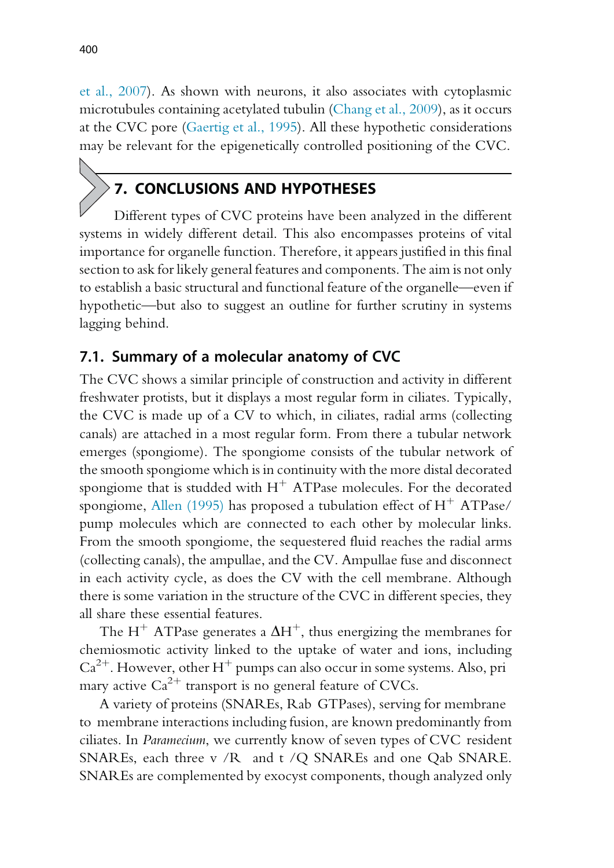et al., 2007). As shown with neurons, it also associates with cytoplasmic microtubules containing acetylated tubulin (Chang et al., 2009), as it occurs at the CVC pore (Gaertig et al., 1995). All these hypothetic considerations may be relevant for the epigenetically controlled positioning of the CVC.

# 7. CONCLUSIONS AND HYPOTHESES

Different types of CVC proteins have been analyzed in the different systems in widely different detail. This also encompasses proteins of vital importance for organelle function. Therefore, it appears justified in this final section to ask for likely general features and components. The aim is not only to establish a basic structural and functional feature of the organelle—even if hypothetic—but also to suggest an outline for further scrutiny in systems lagging behind.

#### 7.1. Summary of a molecular anatomy of CVC

The CVC shows a similar principle of construction and activity in different freshwater protists, but it displays a most regular form in ciliates. Typically, the CVC is made up of a CV to which, in ciliates, radial arms (collecting canals) are attached in a most regular form. From there a tubular network emerges (spongiome). The spongiome consists of the tubular network of the smooth spongiome which is in continuity with the more distal decorated spongiome that is studded with  $H^+$  ATPase molecules. For the decorated spongiome, Allen (1995) has proposed a tubulation effect of  $H^+$  ATPase/ pump molecules which are connected to each other by molecular links. From the smooth spongiome, the sequestered fluid reaches the radial arms (collecting canals), the ampullae, and the CV. Ampullae fuse and disconnect in each activity cycle, as does the CV with the cell membrane. Although there is some variation in the structure of the CVC in different species, they all share these essential features.

The H<sup>+</sup> ATPase generates a  $\Delta H^+$ , thus energizing the membranes for chemiosmotic activity linked to the uptake of water and ions, including  $Ca^{2+}$ . However, other H<sup>+</sup> pumps can also occur in some systems. Also, pri mary active  $Ca^{2+}$  transport is no general feature of CVCs.

A variety of proteins (SNAREs, Rab GTPases), serving for membrane to membrane interactions including fusion, are known predominantly from ciliates. In Paramecium, we currently know of seven types of CVC resident SNAREs, each three v /R and t /Q SNAREs and one Qab SNARE. SNAREs are complemented by exocyst components, though analyzed only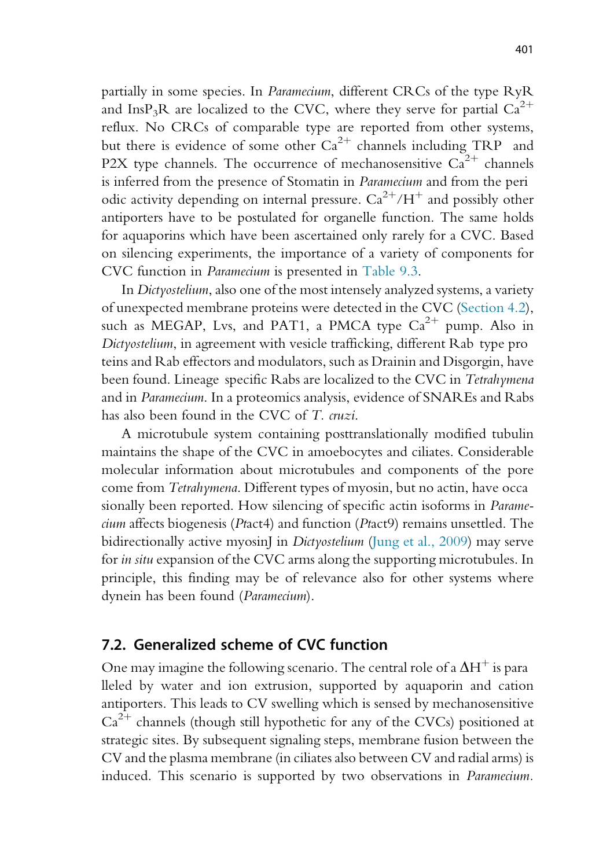partially in some species. In Paramecium, different CRCs of the type RyR and InsP<sub>3</sub>R are localized to the CVC, where they serve for partial  $Ca^{2+}$ reflux. No CRCs of comparable type are reported from other systems, but there is evidence of some other  $Ca^{2+}$  channels including TRP and P2X type channels. The occurrence of mechanosensitive  $Ca^{2+}$  channels is inferred from the presence of Stomatin in Paramecium and from the peri odic activity depending on internal pressure.  $Ca^{2+}/H^+$  and possibly other antiporters have to be postulated for organelle function. The same holds for aquaporins which have been ascertained only rarely for a CVC. Based on silencing experiments, the importance of a variety of components for CVC function in Paramecium is presented in Table 9.3.

In Dictyostelium, also one of the most intensely analyzed systems, a variety of unexpected membrane proteins were detected in the CVC (Section 4.2), such as MEGAP, Lvs, and PAT1, a PMCA type  $Ca^{2+}$  pump. Also in Dictyostelium, in agreement with vesicle trafficking, different Rab type pro teins and Rab effectors and modulators, such as Drainin and Disgorgin, have been found. Lineage specific Rabs are localized to the CVC in Tetrahymena and in Paramecium. In a proteomics analysis, evidence of SNAREs and Rabs has also been found in the CVC of T. cruzi.

A microtubule system containing posttranslationally modified tubulin maintains the shape of the CVC in amoebocytes and ciliates. Considerable molecular information about microtubules and components of the pore come from Tetrahymena. Different types of myosin, but no actin, have occa sionally been reported. How silencing of specific actin isoforms in Paramecium affects biogenesis (Ptact4) and function (Ptact9) remains unsettled. The bidirectionally active myosinJ in *Dictyostelium* (Jung et al., 2009) may serve for in situ expansion of the CVC arms along the supporting microtubules. In principle, this finding may be of relevance also for other systems where dynein has been found (Paramecium).

#### 7.2. Generalized scheme of CVC function

One may imagine the following scenario. The central role of a  $\Delta H^+$  is para lleled by water and ion extrusion, supported by aquaporin and cation antiporters. This leads to CV swelling which is sensed by mechanosensitive  $Ca^{2+}$  channels (though still hypothetic for any of the CVCs) positioned at strategic sites. By subsequent signaling steps, membrane fusion between the CV and the plasma membrane (in ciliates also between CV and radial arms) is induced. This scenario is supported by two observations in Paramecium.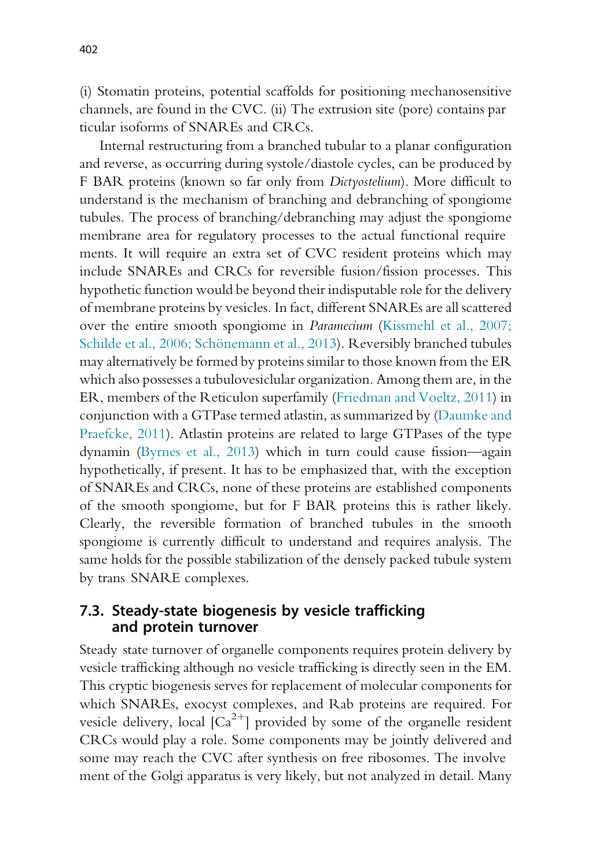(i) Stomatin proteins, potential scaffolds for positioning mechanosensitive channels, are found in the CVC. (ii) The extrusion site (pore) contains par ticular isoforms of SNAREs and CRCs.

Internal restructuring from a branched tubular to a planar configuration and reverse, as occurring during systole/diastole cycles, can be produced by F BAR proteins (known so far only from Dictyostelium). More difficult to understand is the mechanism of branching and debranching of spongiome tubules. The process of branching/debranching may adjust the spongiome membrane area for regulatory processes to the actual functional require ments. It will require an extra set of CVC resident proteins which may include SNAREs and CRCs for reversible fusion/fission processes. This hypothetic function would be beyond their indisputable role for the delivery of membrane proteins by vesicles. In fact, different SNAREs are all scattered over the entire smooth spongiome in Paramecium (Kissmehl et al., 2007; Schilde et al., 2006; Schönemann et al., 2013). Reversibly branched tubules may alternatively be formed by proteins similar to those known from the ER which also possesses a tubulovesiclular organization. Among them are, in the ER, members of the Reticulon superfamily (Friedman and Voeltz, 2011) in conjunction with a GTPase termed atlastin, as summarized by (Daumke and Praefcke, 2011). Atlastin proteins are related to large GTPases of the type dynamin (Byrnes et al., 2013) which in turn could cause fission—again hypothetically, if present. It has to be emphasized that, with the exception of SNAREs and CRCs, none of these proteins are established components of the smooth spongiome, but for F BAR proteins this is rather likely. Clearly, the reversible formation of branched tubules in the smooth spongiome is currently difficult to understand and requires analysis. The same holds for the possible stabilization of the densely packed tubule system by trans SNARE complexes.

#### 7.3. Steady-state biogenesis by vesicle trafficking and protein turnover

Steady state turnover of organelle components requires protein delivery by vesicle trafficking although no vesicle trafficking is directly seen in the EM. This cryptic biogenesis serves for replacement of molecular components for which SNAREs, exocyst complexes, and Rab proteins are required. For vesicle delivery, local  $[Ca^{2+}]$  provided by some of the organelle resident CRCs would play a role. Some components may be jointly delivered and some may reach the CVC after synthesis on free ribosomes. The involve ment of the Golgi apparatus is very likely, but not analyzed in detail. Many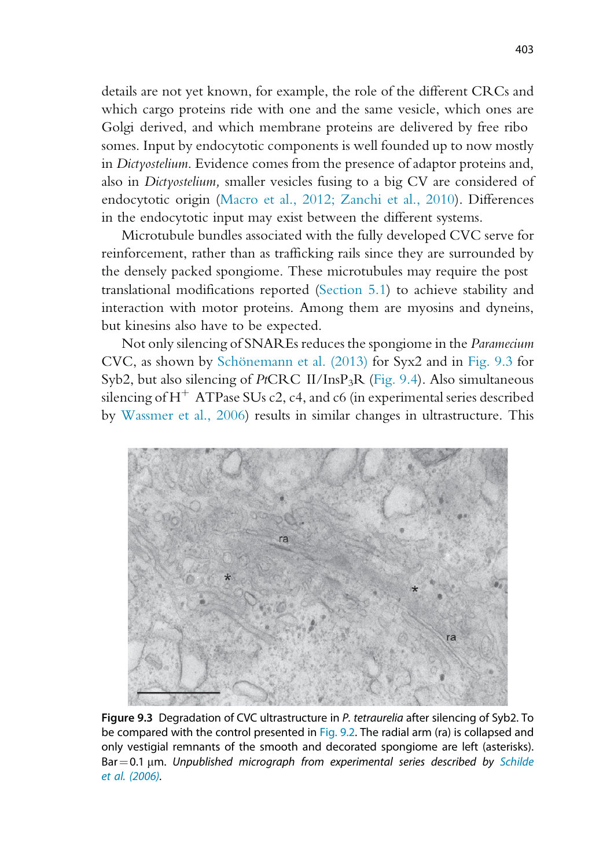details are not yet known, for example, the role of the different CRCs and which cargo proteins ride with one and the same vesicle, which ones are Golgi derived, and which membrane proteins are delivered by free ribo somes. Input by endocytotic components is well founded up to now mostly in Dictyostelium. Evidence comes from the presence of adaptor proteins and, also in Dictyostelium, smaller vesicles fusing to a big CV are considered of endocytotic origin (Macro et al., 2012; Zanchi et al., 2010). Differences in the endocytotic input may exist between the different systems.

Microtubule bundles associated with the fully developed CVC serve for reinforcement, rather than as trafficking rails since they are surrounded by the densely packed spongiome. These microtubules may require the post translational modifications reported (Section 5.1) to achieve stability and interaction with motor proteins. Among them are myosins and dyneins, but kinesins also have to be expected.

Not only silencing of SNAREs reduces the spongiome in the Paramecium CVC, as shown by Schönemann et al. (2013) for Syx2 and in Fig. 9.3 for Syb2, but also silencing of PtCRC II/InsP3R (Fig. 9.4). Also simultaneous silencing of  $H^+$  ATPase SUs c2, c4, and c6 (in experimental series described by Wassmer et al., 2006) results in similar changes in ultrastructure. This



Figure 9.3 Degradation of CVC ultrastructure in P. tetraurelia after silencing of Syb2. To be compared with the control presented in Fig. 9.2. The radial arm (ra) is collapsed and only vestigial remnants of the smooth and decorated spongiome are left (asterisks). Bar  $=$  0.1  $\mu$ m. Unpublished micrograph from experimental series described by Schilde et al. (2006).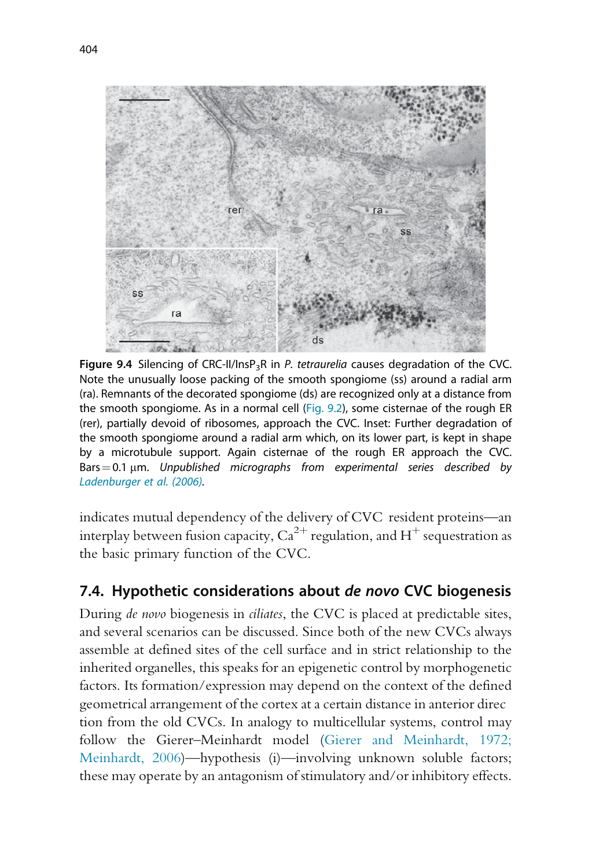

**Figure 9.4** Silencing of CRC-II/InsP<sub>3</sub>R in P. tetraurelia causes degradation of the CVC. Note the unusually loose packing of the smooth spongiome (ss) around a radial arm (ra). Remnants of the decorated spongiome (ds) are recognized only at a distance from the smooth spongiome. As in a normal cell (Fig. 9.2), some cisternae of the rough ER (rer), partially devoid of ribosomes, approach the CVC. Inset: Further degradation of the smooth spongiome around a radial arm which, on its lower part, is kept in shape by a microtubule support. Again cisternae of the rough ER approach the CVC. Bars  $=$  0.1  $\mu$ m. Unpublished micrographs from experimental series described by Ladenburger et al. (2006).

indicates mutual dependency of the delivery of CVC resident proteins—an interplay between fusion capacity,  $Ca^{2+}$  regulation, and H<sup>+</sup> sequestration as the basic primary function of the CVC.

# 7.4. Hypothetic considerations about de novo CVC biogenesis

During de novo biogenesis in ciliates, the CVC is placed at predictable sites, and several scenarios can be discussed. Since both of the new CVCs always assemble at defined sites of the cell surface and in strict relationship to the inherited organelles, this speaks for an epigenetic control by morphogenetic factors. Its formation/expression may depend on the context of the defined geometrical arrangement of the cortex at a certain distance in anterior direc tion from the old CVCs. In analogy to multicellular systems, control may follow the Gierer–Meinhardt model (Gierer and Meinhardt, 1972; Meinhardt, 2006)—hypothesis (i)—involving unknown soluble factors; these may operate by an antagonism of stimulatory and/or inhibitory effects.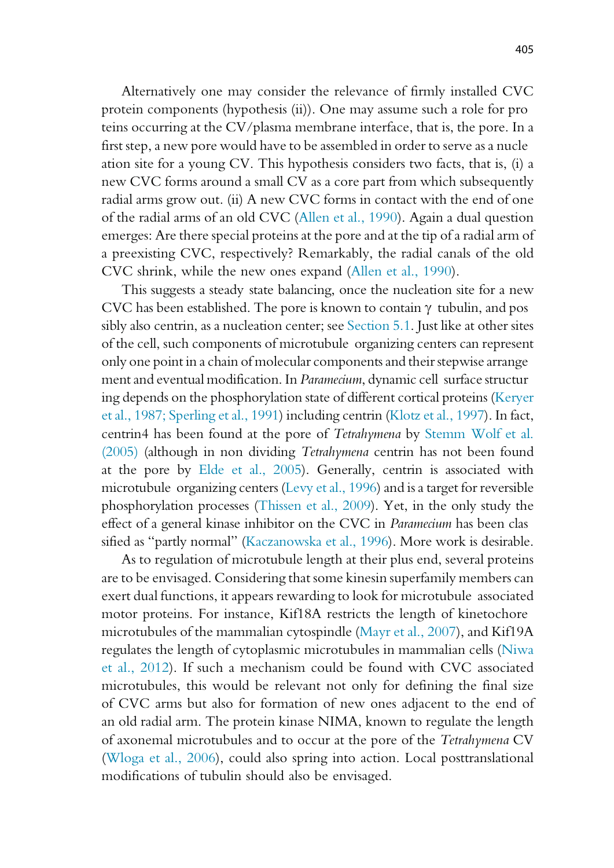Alternatively one may consider the relevance of firmly installed CVC protein components (hypothesis (ii)). One may assume such a role for pro teins occurring at the CV/plasma membrane interface, that is, the pore. In a first step, a new pore would have to be assembled in order to serve as a nucle ation site for a young CV. This hypothesis considers two facts, that is, (i) a new CVC forms around a small CV as a core part from which subsequently radial arms grow out. (ii) A new CVC forms in contact with the end of one of the radial arms of an old CVC (Allen et al., 1990). Again a dual question emerges: Are there special proteins at the pore and at the tip of a radial arm of a preexisting CVC, respectively? Remarkably, the radial canals of the old CVC shrink, while the new ones expand (Allen et al., 1990).

This suggests a steady state balancing, once the nucleation site for a new CVC has been established. The pore is known to contain  $\gamma$  tubulin, and pos sibly also centrin, as a nucleation center; see Section 5.1. Just like at other sites of the cell, such components of microtubule organizing centers can represent only one point in a chain of molecular components and their stepwise arrange ment and eventual modification. In Paramecium, dynamic cell surface structur ing depends on the phosphorylation state of different cortical proteins (Keryer et al., 1987; Sperling et al., 1991) including centrin (Klotz et al., 1997). In fact, centrin4 has been found at the pore of Tetrahymena by Stemm Wolf et al. (2005) (although in non dividing Tetrahymena centrin has not been found at the pore by Elde et al., 2005). Generally, centrin is associated with microtubule organizing centers (Levy et al., 1996) and is a target for reversible phosphorylation processes (Thissen et al., 2009). Yet, in the only study the effect of a general kinase inhibitor on the CVC in Paramecium has been clas sified as "partly normal" (Kaczanowska et al., 1996). More work is desirable.

As to regulation of microtubule length at their plus end, several proteins are to be envisaged. Considering that some kinesin superfamily members can exert dual functions, it appears rewarding to look for microtubule associated motor proteins. For instance, Kif18A restricts the length of kinetochore microtubules of the mammalian cytospindle (Mayr et al., 2007), and Kif19A regulates the length of cytoplasmic microtubules in mammalian cells (Niwa et al., 2012). If such a mechanism could be found with CVC associated microtubules, this would be relevant not only for defining the final size of CVC arms but also for formation of new ones adjacent to the end of an old radial arm. The protein kinase NIMA, known to regulate the length of axonemal microtubules and to occur at the pore of the Tetrahymena CV (Wloga et al., 2006), could also spring into action. Local posttranslational modifications of tubulin should also be envisaged.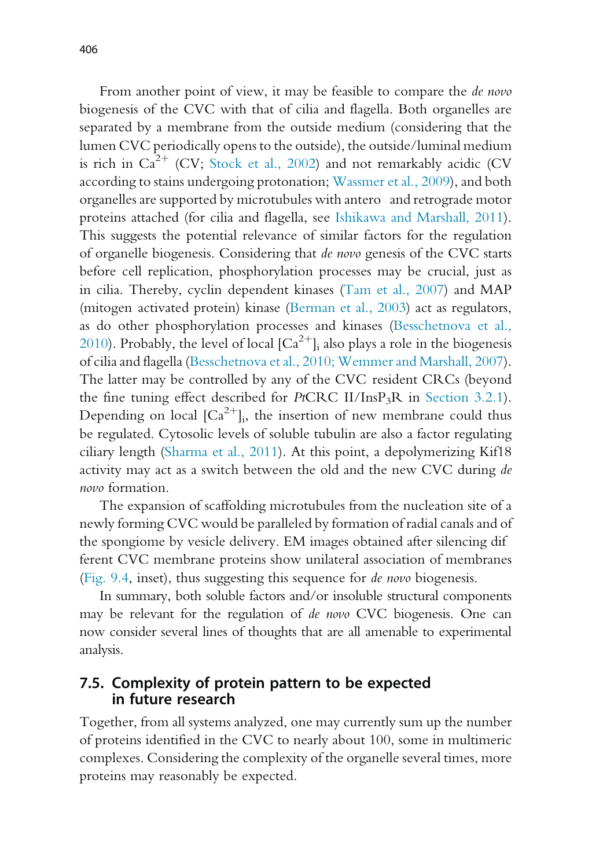From another point of view, it may be feasible to compare the *de novo* biogenesis of the CVC with that of cilia and flagella. Both organelles are separated by a membrane from the outside medium (considering that the lumen CVC periodically opens to the outside), the outside/luminal medium is rich in  $Ca^{2+}$  (CV; Stock et al., 2002) and not remarkably acidic (CV according to stains undergoing protonation; Wassmer et al., 2009), and both organelles are supported by microtubules with antero and retrograde motor proteins attached (for cilia and flagella, see Ishikawa and Marshall, 2011). This suggests the potential relevance of similar factors for the regulation of organelle biogenesis. Considering that de novo genesis of the CVC starts before cell replication, phosphorylation processes may be crucial, just as in cilia. Thereby, cyclin dependent kinases (Tam et al., 2007) and MAP (mitogen activated protein) kinase (Berman et al., 2003) act as regulators, as do other phosphorylation processes and kinases (Besschetnova et al., 2010). Probably, the level of local  $\lbrack Ca^{2+} \rbrack$  also plays a role in the biogenesis of cilia and flagella (Besschetnova et al., 2010; Wemmer and Marshall, 2007). The latter may be controlled by any of the CVC resident CRCs (beyond the fine tuning effect described for  $PtCRC$  II/InsP<sub>3</sub>R in Section 3.2.1). Depending on local  $\left[Ca^{2+}\right]$ , the insertion of new membrane could thus be regulated. Cytosolic levels of soluble tubulin are also a factor regulating ciliary length (Sharma et al., 2011). At this point, a depolymerizing Kif18 activity may act as a switch between the old and the new CVC during de novo formation.

The expansion of scaffolding microtubules from the nucleation site of a newly forming CVC would be paralleled by formation of radial canals and of the spongiome by vesicle delivery. EM images obtained after silencing dif ferent CVC membrane proteins show unilateral association of membranes (Fig. 9.4, inset), thus suggesting this sequence for de novo biogenesis.

In summary, both soluble factors and/or insoluble structural components may be relevant for the regulation of de novo CVC biogenesis. One can now consider several lines of thoughts that are all amenable to experimental analysis.

#### 7.5. Complexity of protein pattern to be expected in future research

Together, from all systems analyzed, one may currently sum up the number of proteins identified in the CVC to nearly about 100, some in multimeric complexes. Considering the complexity of the organelle several times, more proteins may reasonably be expected.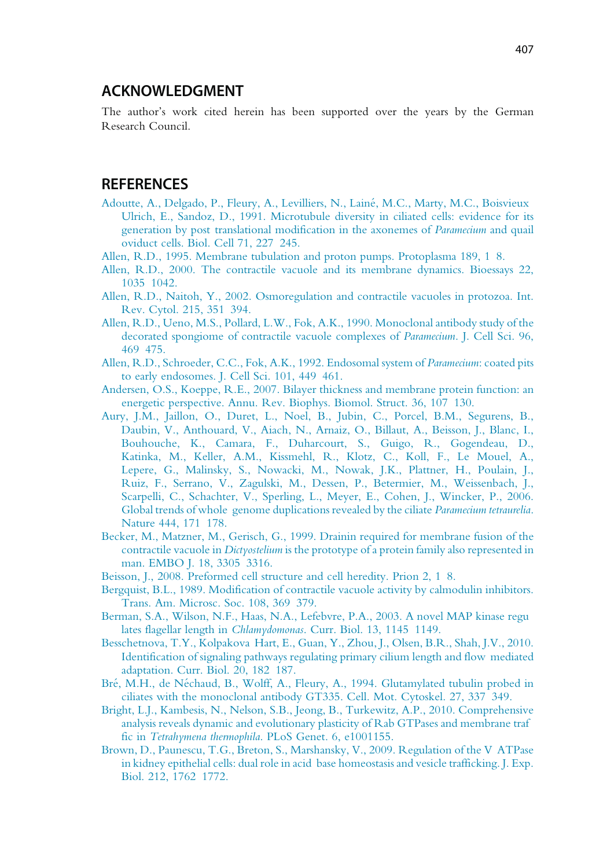#### ACKNOWLEDGMENT

The author's work cited herein has been supported over the years by the German Research Council.

#### REFERENCES

- Adoutte, A., Delgado, P., Fleury, A., Levilliers, N., Lainé, M.C., Marty, M.C., Boisvieux Ulrich, E., Sandoz, D., 1991. Microtubule diversity in ciliated cells: evidence for its generation by post translational modification in the axonemes of Paramecium and quail oviduct cells. Biol. Cell 71, 227 245.
- Allen, R.D., 1995. Membrane tubulation and proton pumps. Protoplasma 189, 1 8.
- Allen, R.D., 2000. The contractile vacuole and its membrane dynamics. Bioessays 22, 1035 1042.
- Allen, R.D., Naitoh, Y., 2002. Osmoregulation and contractile vacuoles in protozoa. Int. Rev. Cytol. 215, 351 394.
- Allen, R.D., Ueno, M.S., Pollard, L.W., Fok, A.K., 1990. Monoclonal antibody study of the decorated spongiome of contractile vacuole complexes of Paramecium. J. Cell Sci. 96, 469 475.
- Allen, R.D., Schroeder, C.C., Fok, A.K., 1992. Endosomal system of Paramecium: coated pits to early endosomes. J. Cell Sci. 101, 449 461.
- Andersen, O.S., Koeppe, R.E., 2007. Bilayer thickness and membrane protein function: an energetic perspective. Annu. Rev. Biophys. Biomol. Struct. 36, 107 130.
- Aury, J.M., Jaillon, O., Duret, L., Noel, B., Jubin, C., Porcel, B.M., Segurens, B., Daubin, V., Anthouard, V., Aiach, N., Arnaiz, O., Billaut, A., Beisson, J., Blanc, I., Bouhouche, K., Camara, F., Duharcourt, S., Guigo, R., Gogendeau, D., Katinka, M., Keller, A.M., Kissmehl, R., Klotz, C., Koll, F., Le Mouel, A., Lepere, G., Malinsky, S., Nowacki, M., Nowak, J.K., Plattner, H., Poulain, J., Ruiz, F., Serrano, V., Zagulski, M., Dessen, P., Betermier, M., Weissenbach, J., Scarpelli, C., Schachter, V., Sperling, L., Meyer, E., Cohen, J., Wincker, P., 2006. Global trends of whole genome duplications revealed by the ciliate Paramecium tetraurelia. Nature 444, 171 178.
- Becker, M., Matzner, M., Gerisch, G., 1999. Drainin required for membrane fusion of the contractile vacuole in Dictyostelium is the prototype of a protein family also represented in man. EMBO J. 18, 3305 3316.
- Beisson, J., 2008. Preformed cell structure and cell heredity. Prion 2, 1 8.
- Bergquist, B.L., 1989. Modification of contractile vacuole activity by calmodulin inhibitors. Trans. Am. Microsc. Soc. 108, 369 379.
- Berman, S.A., Wilson, N.F., Haas, N.A., Lefebvre, P.A., 2003. A novel MAP kinase regu lates flagellar length in Chlamydomonas. Curr. Biol. 13, 1145 1149.
- Besschetnova, T.Y., Kolpakova Hart, E., Guan, Y., Zhou, J., Olsen, B.R., Shah, J.V., 2010. Identification of signaling pathways regulating primary cilium length and flow mediated adaptation. Curr. Biol. 20, 182 187.
- Bré, M.H., de Néchaud, B., Wolff, A., Fleury, A., 1994. Glutamylated tubulin probed in ciliates with the monoclonal antibody GT335. Cell. Mot. Cytoskel. 27, 337 349.
- Bright, L.J., Kambesis, N., Nelson, S.B., Jeong, B., Turkewitz, A.P., 2010. Comprehensive analysis reveals dynamic and evolutionary plasticity of Rab GTPases and membrane traf fic in Tetrahymena thermophila. PLoS Genet. 6, e1001155.
- Brown, D., Paunescu, T.G., Breton, S., Marshansky, V., 2009. Regulation of the V ATPase in kidney epithelial cells: dual role in acid base homeostasis and vesicle trafficking. J. Exp. Biol. 212, 1762 1772.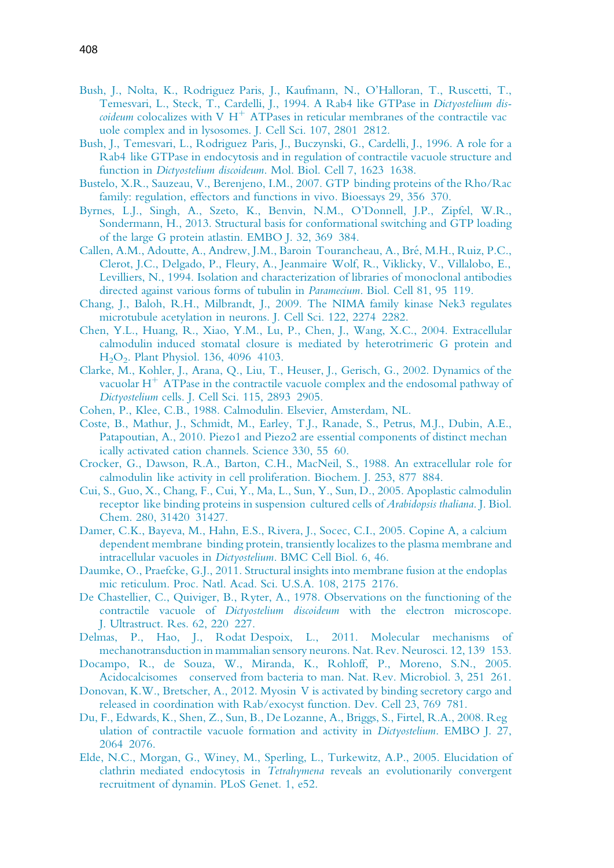- Bush, J., Nolta, K., Rodriguez Paris, J., Kaufmann, N., O'Halloran, T., Ruscetti, T., Temesvari, L., Steck, T., Cardelli, J., 1994. A Rab4 like GTPase in Dictyostelium dis*coideum* colocalizes with V  $H^+$  ATPases in reticular membranes of the contractile vac uole complex and in lysosomes. J. Cell Sci. 107, 2801 2812.
- Bush, J., Temesvari, L., Rodriguez Paris, J., Buczynski, G., Cardelli, J., 1996. A role for a Rab4 like GTPase in endocytosis and in regulation of contractile vacuole structure and function in Dictyostelium discoideum. Mol. Biol. Cell 7, 1623 1638.
- Bustelo, X.R., Sauzeau, V., Berenjeno, I.M., 2007. GTP binding proteins of the Rho/Rac family: regulation, effectors and functions in vivo. Bioessays 29, 356 370.
- Byrnes, L.J., Singh, A., Szeto, K., Benvin, N.M., O'Donnell, J.P., Zipfel, W.R., Sondermann, H., 2013. Structural basis for conformational switching and GTP loading of the large G protein atlastin. EMBO J. 32, 369 384.
- Callen, A.M., Adoutte, A., Andrew, J.M., Baroin Tourancheau, A., Bré, M.H., Ruiz, P.C., Clerot, J.C., Delgado, P., Fleury, A., Jeanmaire Wolf, R., Viklicky, V., Villalobo, E., Levilliers, N., 1994. Isolation and characterization of libraries of monoclonal antibodies directed against various forms of tubulin in Paramecium. Biol. Cell 81, 95 119.
- Chang, J., Baloh, R.H., Milbrandt, J., 2009. The NIMA family kinase Nek3 regulates microtubule acetylation in neurons. J. Cell Sci. 122, 2274 2282.
- Chen, Y.L., Huang, R., Xiao, Y.M., Lu, P., Chen, J., Wang, X.C., 2004. Extracellular calmodulin induced stomatal closure is mediated by heterotrimeric G protein and H<sub>2</sub>O<sub>2</sub>. Plant Physiol. 136, 4096 4103.
- Clarke, M., Kohler, J., Arana, Q., Liu, T., Heuser, J., Gerisch, G., 2002. Dynamics of the vacuolar  $H^+$  ATPase in the contractile vacuole complex and the endosomal pathway of Dictyostelium cells. J. Cell Sci. 115, 2893 2905.
- Cohen, P., Klee, C.B., 1988. Calmodulin. Elsevier, Amsterdam, NL.
- Coste, B., Mathur, J., Schmidt, M., Earley, T.J., Ranade, S., Petrus, M.J., Dubin, A.E., Patapoutian, A., 2010. Piezo1 and Piezo2 are essential components of distinct mechan ically activated cation channels. Science 330, 55 60.
- Crocker, G., Dawson, R.A., Barton, C.H., MacNeil, S., 1988. An extracellular role for calmodulin like activity in cell proliferation. Biochem. J. 253, 877 884.
- Cui, S., Guo, X., Chang, F., Cui, Y., Ma, L., Sun, Y., Sun, D., 2005. Apoplastic calmodulin receptor like binding proteins in suspension cultured cells of Arabidopsis thaliana. J. Biol. Chem. 280, 31420 31427.
- Damer, C.K., Bayeva, M., Hahn, E.S., Rivera, J., Socec, C.I., 2005. Copine A, a calcium dependent membrane binding protein, transiently localizes to the plasma membrane and intracellular vacuoles in Dictyostelium. BMC Cell Biol. 6, 46.
- Daumke, O., Praefcke, G.J., 2011. Structural insights into membrane fusion at the endoplas mic reticulum. Proc. Natl. Acad. Sci. U.S.A. 108, 2175 2176.
- De Chastellier, C., Quiviger, B., Ryter, A., 1978. Observations on the functioning of the contractile vacuole of Dictyostelium discoideum with the electron microscope. J. Ultrastruct. Res. 62, 220 227.
- Delmas, P., Hao, J., Rodat Despoix, L., 2011. Molecular mechanisms of mechanotransduction in mammalian sensory neurons. Nat. Rev. Neurosci. 12, 139 153.
- Docampo, R., de Souza, W., Miranda, K., Rohloff, P., Moreno, S.N., 2005. Acidocalcisomes conserved from bacteria to man. Nat. Rev. Microbiol. 3, 251 261.
- Donovan, K.W., Bretscher, A., 2012. Myosin V is activated by binding secretory cargo and released in coordination with Rab/exocyst function. Dev. Cell 23, 769 781.
- Du, F., Edwards, K., Shen, Z., Sun, B., De Lozanne, A., Briggs, S., Firtel, R.A., 2008. Reg ulation of contractile vacuole formation and activity in Dictyostelium. EMBO J. 27, 2064 2076.
- Elde, N.C., Morgan, G., Winey, M., Sperling, L., Turkewitz, A.P., 2005. Elucidation of clathrin mediated endocytosis in Tetrahymena reveals an evolutionarily convergent recruitment of dynamin. PLoS Genet. 1, e52.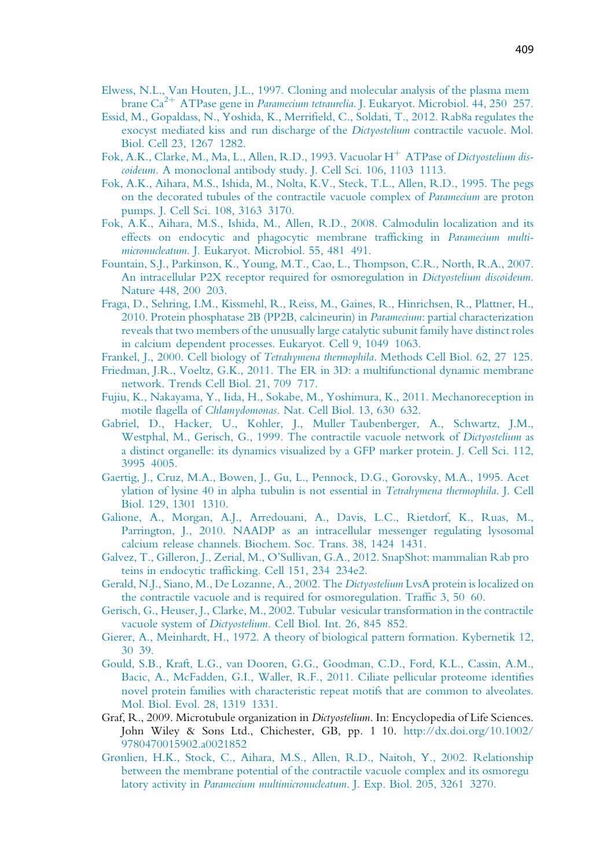- Elwess, N.L., Van Houten, J.L., 1997. Cloning and molecular analysis of the plasma mem brane  $Ca^{2+}$  ATPase gene in *Paramecium tetraurelia*. J. Eukaryot. Microbiol. 44, 250 257.
- Essid, M., Gopaldass, N., Yoshida, K., Merrifield, C., Soldati, T., 2012. Rab8a regulates the exocyst mediated kiss and run discharge of the Dictyostelium contractile vacuole. Mol. Biol. Cell 23, 1267 1282.
- Fok, A.K., Clarke, M., Ma, L., Allen, R.D., 1993. Vacuolar  $H^+$  ATPase of Dictyostelium discoideum. A monoclonal antibody study. J. Cell Sci. 106, 1103 1113.
- Fok, A.K., Aihara, M.S., Ishida, M., Nolta, K.V., Steck, T.L., Allen, R.D., 1995. The pegs on the decorated tubules of the contractile vacuole complex of Paramecium are proton pumps. J. Cell Sci. 108, 3163 3170.
- Fok, A.K., Aihara, M.S., Ishida, M., Allen, R.D., 2008. Calmodulin localization and its effects on endocytic and phagocytic membrane trafficking in Paramecium multimicronucleatum. J. Eukaryot. Microbiol. 55, 481 491.
- Fountain, S.J., Parkinson, K., Young, M.T., Cao, L., Thompson, C.R., North, R.A., 2007. An intracellular P2X receptor required for osmoregulation in Dictyostelium discoideum. Nature 448, 200 203.
- Fraga, D., Sehring, I.M., Kissmehl, R., Reiss, M., Gaines, R., Hinrichsen, R., Plattner, H., 2010. Protein phosphatase 2B (PP2B, calcineurin) in Paramecium: partial characterization reveals that two members of the unusually large catalytic subunit family have distinct roles in calcium dependent processes. Eukaryot. Cell 9, 1049 1063.
- Frankel, J., 2000. Cell biology of Tetrahymena thermophila. Methods Cell Biol. 62, 27 125.
- Friedman, J.R., Voeltz, G.K., 2011. The ER in 3D: a multifunctional dynamic membrane network. Trends Cell Biol. 21, 709 717.
- Fujiu, K., Nakayama, Y., Iida, H., Sokabe, M., Yoshimura, K., 2011. Mechanoreception in motile flagella of Chlamydomonas. Nat. Cell Biol. 13, 630 632.
- Gabriel, D., Hacker, U., Kohler, J., Muller Taubenberger, A., Schwartz, J.M., Westphal, M., Gerisch, G., 1999. The contractile vacuole network of Dictyostelium as a distinct organelle: its dynamics visualized by a GFP marker protein. J. Cell Sci. 112, 3995 4005.
- Gaertig, J., Cruz, M.A., Bowen, J., Gu, L., Pennock, D.G., Gorovsky, M.A., 1995. Acet ylation of lysine 40 in alpha tubulin is not essential in Tetrahymena thermophila. J. Cell Biol. 129, 1301 1310.
- Galione, A., Morgan, A.J., Arredouani, A., Davis, L.C., Rietdorf, K., Ruas, M., Parrington, J., 2010. NAADP as an intracellular messenger regulating lysosomal calcium release channels. Biochem. Soc. Trans. 38, 1424 1431.
- Galvez, T., Gilleron, J., Zerial, M., O'Sullivan, G.A., 2012. SnapShot: mammalian Rab pro teins in endocytic trafficking. Cell 151, 234 234e2.
- Gerald, N.J., Siano, M., De Lozanne, A., 2002. The Dictyostelium LvsA protein is localized on the contractile vacuole and is required for osmoregulation. Traffic 3, 50 60.
- Gerisch, G., Heuser, J., Clarke, M., 2002. Tubular vesicular transformation in the contractile vacuole system of Dictyostelium. Cell Biol. Int. 26, 845 852.
- Gierer, A., Meinhardt, H., 1972. A theory of biological pattern formation. Kybernetik 12, 30 39.
- Gould, S.B., Kraft, L.G., van Dooren, G.G., Goodman, C.D., Ford, K.L., Cassin, A.M., Bacic, A., McFadden, G.I., Waller, R.F., 2011. Ciliate pellicular proteome identifies novel protein families with characteristic repeat motifs that are common to alveolates. Mol. Biol. Evol. 28, 1319 1331.
- Graf, R., 2009. Microtubule organization in *Dictyostelium*. In: Encyclopedia of Life Sciences. John Wiley & Sons Ltd., Chichester, GB, pp. 1 10. http://dx.doi.org/10.1002/ 9780470015902.a0021852
- Grønlien, H.K., Stock, C., Aihara, M.S., Allen, R.D., Naitoh, Y., 2002. Relationship between the membrane potential of the contractile vacuole complex and its osmoregu latory activity in Paramecium multimicronucleatum. J. Exp. Biol. 205, 3261 3270.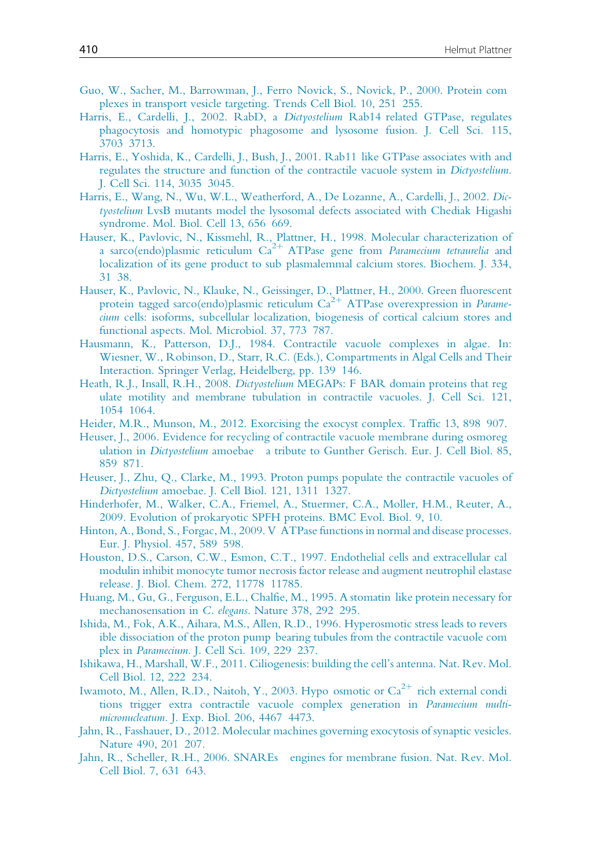- Guo, W., Sacher, M., Barrowman, J., Ferro Novick, S., Novick, P., 2000. Protein com plexes in transport vesicle targeting. Trends Cell Biol. 10, 251 255.
- Harris, E., Cardelli, J., 2002. RabD, a Dictyostelium Rab14 related GTPase, regulates phagocytosis and homotypic phagosome and lysosome fusion. J. Cell Sci. 115, 3703 3713.
- Harris, E., Yoshida, K., Cardelli, J., Bush, J., 2001. Rab11 like GTPase associates with and regulates the structure and function of the contractile vacuole system in Dictyostelium. J. Cell Sci. 114, 3035 3045.
- Harris, E., Wang, N., Wu, W.L., Weatherford, A., De Lozanne, A., Cardelli, J., 2002. Dictyostelium LvsB mutants model the lysosomal defects associated with Chediak Higashi syndrome. Mol. Biol. Cell 13, 656 669.
- Hauser, K., Pavlovic, N., Kissmehl, R., Plattner, H., 1998. Molecular characterization of a sarco(endo)plasmic reticulum  $Ca^{2+}$  ATPase gene from *Paramecium tetraurelia* and localization of its gene product to sub plasmalemmal calcium stores. Biochem. J. 334, 31 38.
- Hauser, K., Pavlovic, N., Klauke, N., Geissinger, D., Plattner, H., 2000. Green fluorescent protein tagged sarco(endo)plasmic reticulum  $Ca^{2+}$  ATPase overexpression in *Parame*cium cells: isoforms, subcellular localization, biogenesis of cortical calcium stores and functional aspects. Mol. Microbiol. 37, 773 787.
- Hausmann, K., Patterson, D.J., 1984. Contractile vacuole complexes in algae. In: Wiesner, W., Robinson, D., Starr, R.C. (Eds.), Compartments in Algal Cells and Their Interaction. Springer Verlag, Heidelberg, pp. 139 146.
- Heath, R.J., Insall, R.H., 2008. Dictyostelium MEGAPs: F BAR domain proteins that reg ulate motility and membrane tubulation in contractile vacuoles. J. Cell Sci. 121, 1054 1064.
- Heider, M.R., Munson, M., 2012. Exorcising the exocyst complex. Traffic 13, 898 907.
- Heuser, J., 2006. Evidence for recycling of contractile vacuole membrane during osmoreg ulation in Dictyostelium amoebae a tribute to Gunther Gerisch. Eur. J. Cell Biol. 85, 859 871.
- Heuser, J., Zhu, Q., Clarke, M., 1993. Proton pumps populate the contractile vacuoles of Dictyostelium amoebae. J. Cell Biol. 121, 1311 1327.
- Hinderhofer, M., Walker, C.A., Friemel, A., Stuermer, C.A., Moller, H.M., Reuter, A., 2009. Evolution of prokaryotic SPFH proteins. BMC Evol. Biol. 9, 10.
- Hinton, A., Bond, S., Forgac, M., 2009. V ATPase functions in normal and disease processes. Eur. J. Physiol. 457, 589 598.
- Houston, D.S., Carson, C.W., Esmon, C.T., 1997. Endothelial cells and extracellular cal modulin inhibit monocyte tumor necrosis factor release and augment neutrophil elastase release. J. Biol. Chem. 272, 11778 11785.
- Huang, M., Gu, G., Ferguson, E.L., Chalfie, M., 1995. A stomatin like protein necessary for mechanosensation in C. elegans. Nature 378, 292 295.
- Ishida, M., Fok, A.K., Aihara, M.S., Allen, R.D., 1996. Hyperosmotic stress leads to revers ible dissociation of the proton pump bearing tubules from the contractile vacuole com plex in Paramecium. J. Cell Sci. 109, 229 237.
- Ishikawa, H., Marshall, W.F., 2011. Ciliogenesis: building the cell's antenna. Nat. Rev. Mol. Cell Biol. 12, 222 234.
- Iwamoto, M., Allen, R.D., Naitoh, Y., 2003. Hypo osmotic or  $Ca^{2+}$  rich external condi tions trigger extra contractile vacuole complex generation in Paramecium multimicronucleatum. J. Exp. Biol. 206, 4467 4473.
- Jahn, R., Fasshauer, D., 2012. Molecular machines governing exocytosis of synaptic vesicles. Nature 490, 201 207.
- Jahn, R., Scheller, R.H., 2006. SNAREs engines for membrane fusion. Nat. Rev. Mol. Cell Biol. 7, 631 643.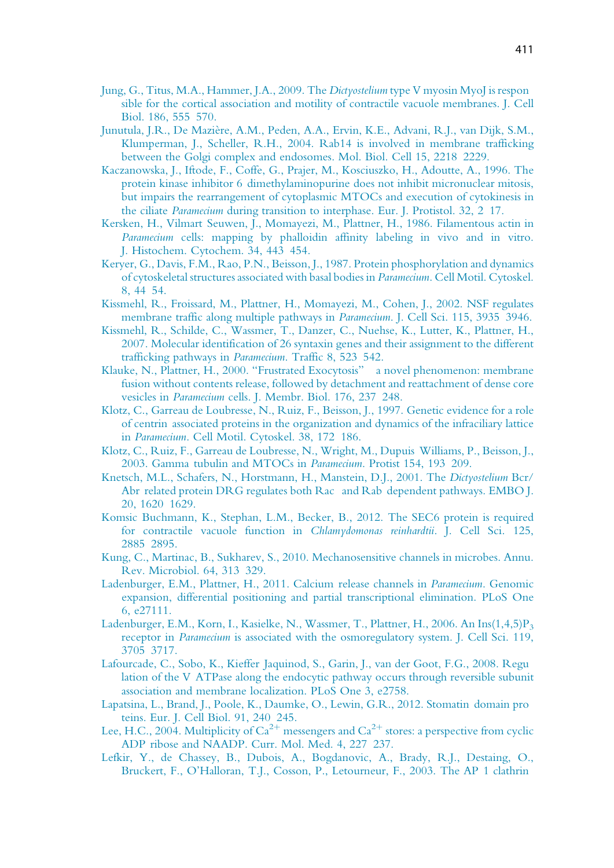- Jung, G., Titus, M.A., Hammer, J.A., 2009. The Dictyostelium type V myosin MyoJ is respon sible for the cortical association and motility of contractile vacuole membranes. J. Cell Biol. 186, 555 570.
- Junutula, J.R., De Mazie`re, A.M., Peden, A.A., Ervin, K.E., Advani, R.J., van Dijk, S.M., Klumperman, J., Scheller, R.H., 2004. Rab14 is involved in membrane trafficking between the Golgi complex and endosomes. Mol. Biol. Cell 15, 2218 2229.
- Kaczanowska, J., Iftode, F., Coffe, G., Prajer, M., Kosciuszko, H., Adoutte, A., 1996. The protein kinase inhibitor 6 dimethylaminopurine does not inhibit micronuclear mitosis, but impairs the rearrangement of cytoplasmic MTOCs and execution of cytokinesis in the ciliate Paramecium during transition to interphase. Eur. J. Protistol. 32, 2 17.
- Kersken, H., Vilmart Seuwen, J., Momayezi, M., Plattner, H., 1986. Filamentous actin in Paramecium cells: mapping by phalloidin affinity labeling in vivo and in vitro. J. Histochem. Cytochem. 34, 443 454.
- Keryer, G., Davis, F.M., Rao, P.N., Beisson, J., 1987. Protein phosphorylation and dynamics of cytoskeletal structures associated with basal bodies in Paramecium. Cell Motil. Cytoskel. 8, 44 54.
- Kissmehl, R., Froissard, M., Plattner, H., Momayezi, M., Cohen, J., 2002. NSF regulates membrane traffic along multiple pathways in Paramecium. J. Cell Sci. 115, 3935 3946.
- Kissmehl, R., Schilde, C., Wassmer, T., Danzer, C., Nuehse, K., Lutter, K., Plattner, H., 2007. Molecular identification of 26 syntaxin genes and their assignment to the different trafficking pathways in Paramecium. Traffic 8, 523 542.
- Klauke, N., Plattner, H., 2000. "Frustrated Exocytosis" a novel phenomenon: membrane fusion without contents release, followed by detachment and reattachment of dense core vesicles in Paramecium cells. J. Membr. Biol. 176, 237 248.
- Klotz, C., Garreau de Loubresse, N., Ruiz, F., Beisson, J., 1997. Genetic evidence for a role of centrin associated proteins in the organization and dynamics of the infraciliary lattice in Paramecium. Cell Motil. Cytoskel. 38, 172 186.
- Klotz, C., Ruiz, F., Garreau de Loubresse, N., Wright, M., Dupuis Williams, P., Beisson, J., 2003. Gamma tubulin and MTOCs in Paramecium. Protist 154, 193 209.
- Knetsch, M.L., Schafers, N., Horstmann, H., Manstein, D.J., 2001. The Dictyostelium Bcr/ Abr related protein DRG regulates both Rac and Rab dependent pathways. EMBO J. 20, 1620 1629.
- Komsic Buchmann, K., Stephan, L.M., Becker, B., 2012. The SEC6 protein is required for contractile vacuole function in Chlamydomonas reinhardtii. J. Cell Sci. 125, 2885 2895.
- Kung, C., Martinac, B., Sukharev, S., 2010. Mechanosensitive channels in microbes. Annu. Rev. Microbiol. 64, 313 329.
- Ladenburger, E.M., Plattner, H., 2011. Calcium release channels in Paramecium. Genomic expansion, differential positioning and partial transcriptional elimination. PLoS One 6, e27111.
- Ladenburger, E.M., Korn, I., Kasielke, N., Wassmer, T., Plattner, H., 2006. An Ins $(1,4,5)P_3$ receptor in Paramecium is associated with the osmoregulatory system. J. Cell Sci. 119, 3705 3717.
- Lafourcade, C., Sobo, K., Kieffer Jaquinod, S., Garin, J., van der Goot, F.G., 2008. Regu lation of the V ATPase along the endocytic pathway occurs through reversible subunit association and membrane localization. PLoS One 3, e2758.
- Lapatsina, L., Brand, J., Poole, K., Daumke, O., Lewin, G.R., 2012. Stomatin domain pro teins. Eur. J. Cell Biol. 91, 240 245.
- Lee, H.C., 2004. Multiplicity of  $Ca^{2+}$  messengers and  $Ca^{2+}$  stores: a perspective from cyclic ADP ribose and NAADP. Curr. Mol. Med. 4, 227 237.
- Lefkir, Y., de Chassey, B., Dubois, A., Bogdanovic, A., Brady, R.J., Destaing, O., Bruckert, F., O'Halloran, T.J., Cosson, P., Letourneur, F., 2003. The AP 1 clathrin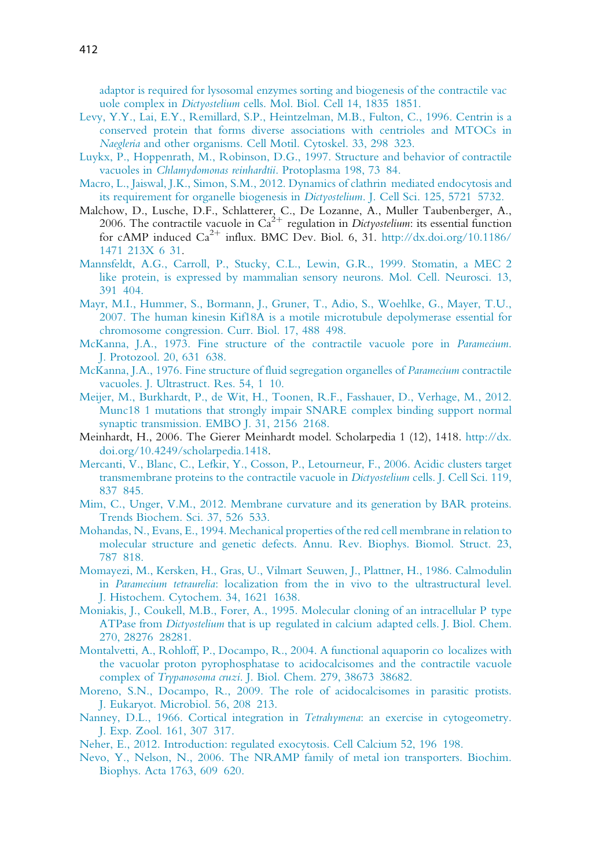adaptor is required for lysosomal enzymes sorting and biogenesis of the contractile vac uole complex in Dictyostelium cells. Mol. Biol. Cell 14, 1835 1851.

- Levy, Y.Y., Lai, E.Y., Remillard, S.P., Heintzelman, M.B., Fulton, C., 1996. Centrin is a conserved protein that forms diverse associations with centrioles and MTOCs in Naegleria and other organisms. Cell Motil. Cytoskel. 33, 298 323.
- Luykx, P., Hoppenrath, M., Robinson, D.G., 1997. Structure and behavior of contractile vacuoles in Chlamydomonas reinhardtii. Protoplasma 198, 73 84.
- Macro, L., Jaiswal, J.K., Simon, S.M., 2012. Dynamics of clathrin mediated endocytosis and its requirement for organelle biogenesis in Dictyostelium. J. Cell Sci. 125, 5721 5732.
- Malchow, D., Lusche, D.F., Schlatterer, C., De Lozanne, A., Muller Taubenberger, A., 2006. The contractile vacuole in  $Ca^{2+}$  regulation in Dictyostelium: its essential function for cAMP induced  $Ca^{2+}$  influx. BMC Dev. Biol. 6, 31. http://dx.doi.org/10.1186/ 1471 213X 6 31.
- Mannsfeldt, A.G., Carroll, P., Stucky, C.L., Lewin, G.R., 1999. Stomatin, a MEC 2 like protein, is expressed by mammalian sensory neurons. Mol. Cell. Neurosci. 13, 391 404.
- Mayr, M.I., Hummer, S., Bormann, J., Gruner, T., Adio, S., Woehlke, G., Mayer, T.U., 2007. The human kinesin Kif18A is a motile microtubule depolymerase essential for chromosome congression. Curr. Biol. 17, 488 498.
- McKanna, J.A., 1973. Fine structure of the contractile vacuole pore in Paramecium. J. Protozool. 20, 631 638.
- McKanna, J.A., 1976. Fine structure of fluid segregation organelles of Paramecium contractile vacuoles. J. Ultrastruct. Res. 54, 1 10.
- Meijer, M., Burkhardt, P., de Wit, H., Toonen, R.F., Fasshauer, D., Verhage, M., 2012. Munc18 1 mutations that strongly impair SNARE complex binding support normal synaptic transmission. EMBO J. 31, 2156 2168.
- Meinhardt, H., 2006. The Gierer Meinhardt model. Scholarpedia 1 (12), 1418. http://dx. doi.org/10.4249/scholarpedia.1418.
- Mercanti, V., Blanc, C., Lefkir, Y., Cosson, P., Letourneur, F., 2006. Acidic clusters target transmembrane proteins to the contractile vacuole in Dictyostelium cells. J. Cell Sci. 119, 837 845.
- Mim, C., Unger, V.M., 2012. Membrane curvature and its generation by BAR proteins. Trends Biochem. Sci. 37, 526 533.
- Mohandas, N., Evans, E., 1994. Mechanical properties of the red cell membrane in relation to molecular structure and genetic defects. Annu. Rev. Biophys. Biomol. Struct. 23, 787 818.
- Momayezi, M., Kersken, H., Gras, U., Vilmart Seuwen, J., Plattner, H., 1986. Calmodulin in Paramecium tetraurelia: localization from the in vivo to the ultrastructural level. J. Histochem. Cytochem. 34, 1621 1638.
- Moniakis, J., Coukell, M.B., Forer, A., 1995. Molecular cloning of an intracellular P type ATPase from Dictyostelium that is up regulated in calcium adapted cells. J. Biol. Chem. 270, 28276 28281.
- Montalvetti, A., Rohloff, P., Docampo, R., 2004. A functional aquaporin co localizes with the vacuolar proton pyrophosphatase to acidocalcisomes and the contractile vacuole complex of Trypanosoma cruzi. J. Biol. Chem. 279, 38673 38682.
- Moreno, S.N., Docampo, R., 2009. The role of acidocalcisomes in parasitic protists. J. Eukaryot. Microbiol. 56, 208 213.
- Nanney, D.L., 1966. Cortical integration in *Tetrahymena*: an exercise in cytogeometry. J. Exp. Zool. 161, 307 317.
- Neher, E., 2012. Introduction: regulated exocytosis. Cell Calcium 52, 196 198.
- Nevo, Y., Nelson, N., 2006. The NRAMP family of metal ion transporters. Biochim. Biophys. Acta 1763, 609 620.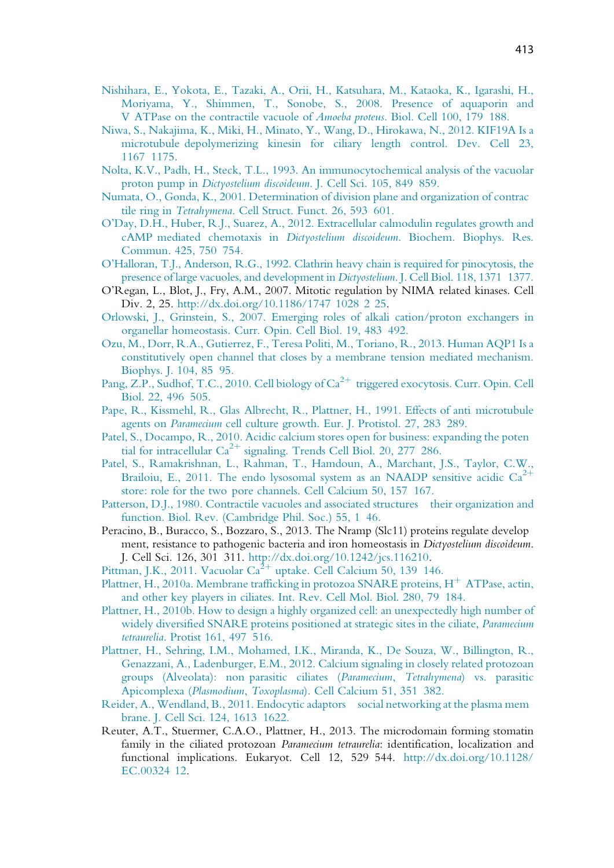- Nishihara, E., Yokota, E., Tazaki, A., Orii, H., Katsuhara, M., Kataoka, K., Igarashi, H., Moriyama, Y., Shimmen, T., Sonobe, S., 2008. Presence of aquaporin and V ATPase on the contractile vacuole of Amoeba proteus. Biol. Cell 100, 179 188.
- Niwa, S., Nakajima, K., Miki, H., Minato, Y., Wang, D., Hirokawa, N., 2012. KIF19A Is a microtubule depolymerizing kinesin for ciliary length control. Dev. Cell 23, 1167 1175.
- Nolta, K.V., Padh, H., Steck, T.L., 1993. An immunocytochemical analysis of the vacuolar proton pump in Dictyostelium discoideum. J. Cell Sci. 105, 849 859.
- Numata, O., Gonda, K., 2001. Determination of division plane and organization of contrac tile ring in Tetrahymena. Cell Struct. Funct. 26, 593 601.
- O'Day, D.H., Huber, R.J., Suarez, A., 2012. Extracellular calmodulin regulates growth and cAMP mediated chemotaxis in Dictyostelium discoideum. Biochem. Biophys. Res. Commun. 425, 750 754.
- O'Halloran, T.J., Anderson, R.G., 1992. Clathrin heavy chain is required for pinocytosis, the presence of large vacuoles, and development in Dictyostelium. J. Cell Biol. 118, 1371 1377.
- O'Regan, L., Blot, J., Fry, A.M., 2007. Mitotic regulation by NIMA related kinases. Cell Div. 2, 25. http://dx.doi.org/10.1186/1747 1028 2 25.
- Orlowski, J., Grinstein, S., 2007. Emerging roles of alkali cation/proton exchangers in organellar homeostasis. Curr. Opin. Cell Biol. 19, 483 492.
- Ozu, M., Dorr, R.A., Gutierrez, F., Teresa Politi, M., Toriano, R., 2013. Human AQP1 Is a constitutively open channel that closes by a membrane tension mediated mechanism. Biophys. J. 104, 85 95.
- Pang, Z.P., Sudhof, T.C., 2010. Cell biology of  $Ca^{2+}$  triggered exocytosis. Curr. Opin. Cell Biol. 22, 496 505.
- Pape, R., Kissmehl, R., Glas Albrecht, R., Plattner, H., 1991. Effects of anti microtubule agents on Paramecium cell culture growth. Eur. J. Protistol. 27, 283 289.
- Patel, S., Docampo, R., 2010. Acidic calcium stores open for business: expanding the poten tial for intracellular  $Ca^{2+}$  signaling. Trends Cell Biol. 20, 277 286.
- Patel, S., Ramakrishnan, L., Rahman, T., Hamdoun, A., Marchant, J.S., Taylor, C.W., Brailoiu, E., 2011. The endo lysosomal system as an NAADP sensitive acidic  $Ca^{2+}$ store: role for the two pore channels. Cell Calcium 50, 157 167.
- Patterson, D.J., 1980. Contractile vacuoles and associated structures their organization and function. Biol. Rev. (Cambridge Phil. Soc.) 55, 1 46.
- Peracino, B., Buracco, S., Bozzaro, S., 2013. The Nramp (Slc11) proteins regulate develop ment, resistance to pathogenic bacteria and iron homeostasis in Dictyostelium discoideum. J. Cell Sci. 126, 301 311. http://dx.doi.org/10.1242/jcs.116210.
- Pittman, J.K., 2011. Vacuolar  $Ca^{2+}$  uptake. Cell Calcium 50, 139 146.
- Plattner, H., 2010a. Membrane trafficking in protozoa SNARE proteins,  $H^+$  ATPase, actin, and other key players in ciliates. Int. Rev. Cell Mol. Biol. 280, 79 184.
- Plattner, H., 2010b. How to design a highly organized cell: an unexpectedly high number of widely diversified SNARE proteins positioned at strategic sites in the ciliate, *Paramecium* tetraurelia. Protist 161, 497 516.
- Plattner, H., Sehring, I.M., Mohamed, I.K., Miranda, K., De Souza, W., Billington, R., Genazzani, A., Ladenburger, E.M., 2012. Calcium signaling in closely related protozoan groups (Alveolata): non parasitic ciliates (Paramecium, Tetrahymena) vs. parasitic Apicomplexa (Plasmodium, Toxoplasma). Cell Calcium 51, 351 382.
- Reider, A., Wendland, B., 2011. Endocytic adaptors social networking at the plasma mem brane. J. Cell Sci. 124, 1613 1622.
- Reuter, A.T., Stuermer, C.A.O., Plattner, H., 2013. The microdomain forming stomatin family in the ciliated protozoan Paramecium tetraurelia: identification, localization and functional implications. Eukaryot. Cell 12, 529 544. http://dx.doi.org/10.1128/ EC.00324 12.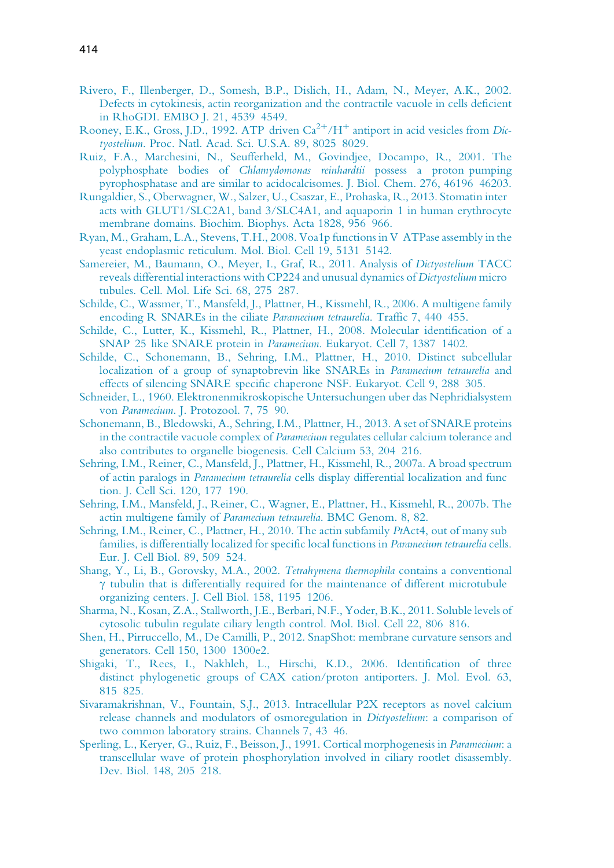- Rivero, F., Illenberger, D., Somesh, B.P., Dislich, H., Adam, N., Meyer, A.K., 2002. Defects in cytokinesis, actin reorganization and the contractile vacuole in cells deficient in RhoGDI. EMBO J. 21, 4539 4549.
- Rooney, E.K., Gross, J.D., 1992. ATP driven  $Ca^{2+}/H^+$  antiport in acid vesicles from Dictyostelium. Proc. Natl. Acad. Sci. U.S.A. 89, 8025 8029.
- Ruiz, F.A., Marchesini, N., Seufferheld, M., Govindjee, Docampo, R., 2001. The polyphosphate bodies of Chlamydomonas reinhardtii possess a proton pumping pyrophosphatase and are similar to acidocalcisomes. J. Biol. Chem. 276, 46196 46203.
- Rungaldier, S., Oberwagner, W., Salzer, U., Csaszar, E., Prohaska, R., 2013. Stomatin inter acts with GLUT1/SLC2A1, band 3/SLC4A1, and aquaporin 1 in human erythrocyte membrane domains. Biochim. Biophys. Acta 1828, 956 966.
- Ryan, M., Graham, L.A., Stevens, T.H., 2008. Voa1p functions in V ATPase assembly in the yeast endoplasmic reticulum. Mol. Biol. Cell 19, 5131 5142.
- Samereier, M., Baumann, O., Meyer, I., Graf, R., 2011. Analysis of Dictyostelium TACC reveals differential interactions with CP224 and unusual dynamics of Dictyostelium micro tubules. Cell. Mol. Life Sci. 68, 275 287.
- Schilde, C., Wassmer, T., Mansfeld, J., Plattner, H., Kissmehl, R., 2006. A multigene family encoding R SNAREs in the ciliate Paramecium tetraurelia. Traffic 7, 440 455.
- Schilde, C., Lutter, K., Kissmehl, R., Plattner, H., 2008. Molecular identification of a SNAP 25 like SNARE protein in Paramecium. Eukaryot. Cell 7, 1387 1402.
- Schilde, C., Schonemann, B., Sehring, I.M., Plattner, H., 2010. Distinct subcellular localization of a group of synaptobrevin like SNAREs in Paramecium tetraurelia and effects of silencing SNARE specific chaperone NSF. Eukaryot. Cell 9, 288 305.
- Schneider, L., 1960. Elektronenmikroskopische Untersuchungen uber das Nephridialsystem von Paramecium. J. Protozool. 7, 75 90.
- Schonemann, B., Bledowski, A., Sehring, I.M., Plattner, H., 2013. A set of SNARE proteins in the contractile vacuole complex of Paramecium regulates cellular calcium tolerance and also contributes to organelle biogenesis. Cell Calcium 53, 204 216.
- Sehring, I.M., Reiner, C., Mansfeld, J., Plattner, H., Kissmehl, R., 2007a. A broad spectrum of actin paralogs in Paramecium tetraurelia cells display differential localization and func tion. J. Cell Sci. 120, 177 190.
- Sehring, I.M., Mansfeld, J., Reiner, C., Wagner, E., Plattner, H., Kissmehl, R., 2007b. The actin multigene family of Paramecium tetraurelia. BMC Genom. 8, 82.
- Sehring, I.M., Reiner, C., Plattner, H., 2010. The actin subfamily PtAct4, out of many sub families, is differentially localized for specific local functions in Paramecium tetraurelia cells. Eur. J. Cell Biol. 89, 509 524.
- Shang, Y., Li, B., Gorovsky, M.A., 2002. Tetrahymena thermophila contains a conventional  $\gamma$  tubulin that is differentially required for the maintenance of different microtubule organizing centers. J. Cell Biol. 158, 1195 1206.
- Sharma, N., Kosan, Z.A., Stallworth, J.E., Berbari, N.F., Yoder, B.K., 2011. Soluble levels of cytosolic tubulin regulate ciliary length control. Mol. Biol. Cell 22, 806 816.
- Shen, H., Pirruccello, M., De Camilli, P., 2012. SnapShot: membrane curvature sensors and generators. Cell 150, 1300 1300e2.
- Shigaki, T., Rees, I., Nakhleh, L., Hirschi, K.D., 2006. Identification of three distinct phylogenetic groups of CAX cation/proton antiporters. J. Mol. Evol. 63, 815 825.
- Sivaramakrishnan, V., Fountain, S.J., 2013. Intracellular P2X receptors as novel calcium release channels and modulators of osmoregulation in Dictyostelium: a comparison of two common laboratory strains. Channels 7, 43 46.
- Sperling, L., Keryer, G., Ruiz, F., Beisson, J., 1991. Cortical morphogenesis in Paramecium: a transcellular wave of protein phosphorylation involved in ciliary rootlet disassembly. Dev. Biol. 148, 205 218.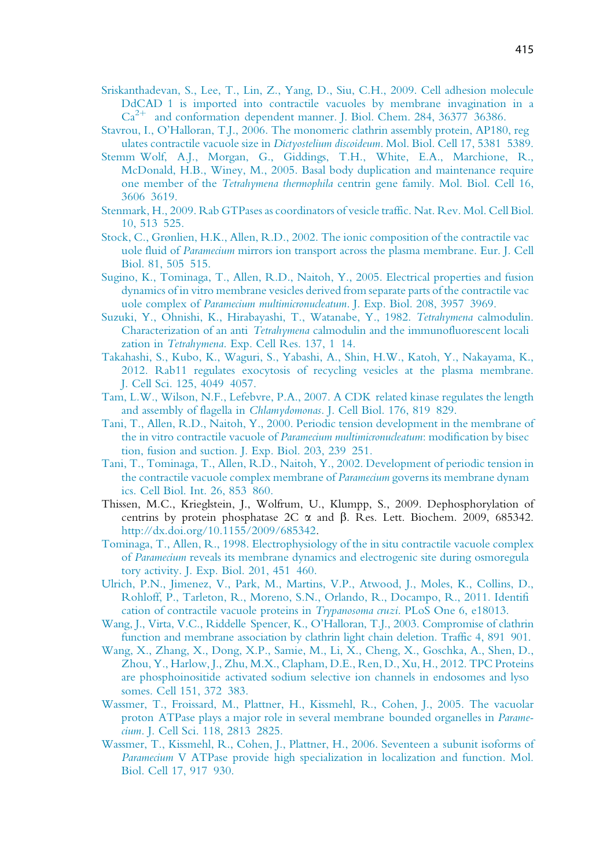- Sriskanthadevan, S., Lee, T., Lin, Z., Yang, D., Siu, C.H., 2009. Cell adhesion molecule DdCAD 1 is imported into contractile vacuoles by membrane invagination in a  $Ca<sup>2+</sup>$  and conformation dependent manner. J. Biol. Chem. 284, 36377 36386.
- Stavrou, I., O'Halloran, T.J., 2006. The monomeric clathrin assembly protein, AP180, reg ulates contractile vacuole size in Dictyostelium discoideum. Mol. Biol. Cell 17, 5381 5389.
- Stemm Wolf, A.J., Morgan, G., Giddings, T.H., White, E.A., Marchione, R., McDonald, H.B., Winey, M., 2005. Basal body duplication and maintenance require one member of the Tetrahymena thermophila centrin gene family. Mol. Biol. Cell 16, 3606 3619.
- Stenmark, H., 2009. Rab GTPases as coordinators of vesicle traffic. Nat. Rev. Mol. Cell Biol. 10, 513 525.
- Stock, C., Grønlien, H.K., Allen, R.D., 2002. The ionic composition of the contractile vac uole fluid of Paramecium mirrors ion transport across the plasma membrane. Eur. J. Cell Biol. 81, 505 515.
- Sugino, K., Tominaga, T., Allen, R.D., Naitoh, Y., 2005. Electrical properties and fusion dynamics of in vitro membrane vesicles derived from separate parts of the contractile vac uole complex of Paramecium multimicronucleatum. J. Exp. Biol. 208, 3957 3969.
- Suzuki, Y., Ohnishi, K., Hirabayashi, T., Watanabe, Y., 1982. Tetrahymena calmodulin. Characterization of an anti Tetrahymena calmodulin and the immunofluorescent locali zation in Tetrahymena. Exp. Cell Res. 137, 1 14.
- Takahashi, S., Kubo, K., Waguri, S., Yabashi, A., Shin, H.W., Katoh, Y., Nakayama, K., 2012. Rab11 regulates exocytosis of recycling vesicles at the plasma membrane. J. Cell Sci. 125, 4049 4057.
- Tam, L.W., Wilson, N.F., Lefebvre, P.A., 2007. A CDK related kinase regulates the length and assembly of flagella in Chlamydomonas. J. Cell Biol. 176, 819 829.
- Tani, T., Allen, R.D., Naitoh, Y., 2000. Periodic tension development in the membrane of the in vitro contractile vacuole of Paramecium multimicronucleatum: modification by bisec tion, fusion and suction. J. Exp. Biol. 203, 239 251.
- Tani, T., Tominaga, T., Allen, R.D., Naitoh, Y., 2002. Development of periodic tension in the contractile vacuole complex membrane of Paramecium governs its membrane dynam ics. Cell Biol. Int. 26, 853 860.
- Thissen, M.C., Krieglstein, J., Wolfrum, U., Klumpp, S., 2009. Dephosphorylation of centrins by protein phosphatase  $2C \alpha$  and  $\beta$ . Res. Lett. Biochem. 2009, 685342. http://dx.doi.org/10.1155/2009/685342.
- Tominaga, T., Allen, R., 1998. Electrophysiology of the in situ contractile vacuole complex of Paramecium reveals its membrane dynamics and electrogenic site during osmoregula tory activity. J. Exp. Biol. 201, 451 460.
- Ulrich, P.N., Jimenez, V., Park, M., Martins, V.P., Atwood, J., Moles, K., Collins, D., Rohloff, P., Tarleton, R., Moreno, S.N., Orlando, R., Docampo, R., 2011. Identifi cation of contractile vacuole proteins in Trypanosoma cruzi. PLoS One 6, e18013.
- Wang, J., Virta, V.C., Riddelle Spencer, K., O'Halloran, T.J., 2003. Compromise of clathrin function and membrane association by clathrin light chain deletion. Traffic 4, 891 901.
- Wang, X., Zhang, X., Dong, X.P., Samie, M., Li, X., Cheng, X., Goschka, A., Shen, D., Zhou, Y., Harlow, J., Zhu, M.X., Clapham, D.E., Ren, D., Xu, H., 2012. TPC Proteins are phosphoinositide activated sodium selective ion channels in endosomes and lyso somes. Cell 151, 372 383.
- Wassmer, T., Froissard, M., Plattner, H., Kissmehl, R., Cohen, J., 2005. The vacuolar proton ATPase plays a major role in several membrane bounded organelles in Paramecium. J. Cell Sci. 118, 2813 2825.
- Wassmer, T., Kissmehl, R., Cohen, J., Plattner, H., 2006. Seventeen a subunit isoforms of Paramecium V ATPase provide high specialization in localization and function. Mol. Biol. Cell 17, 917 930.